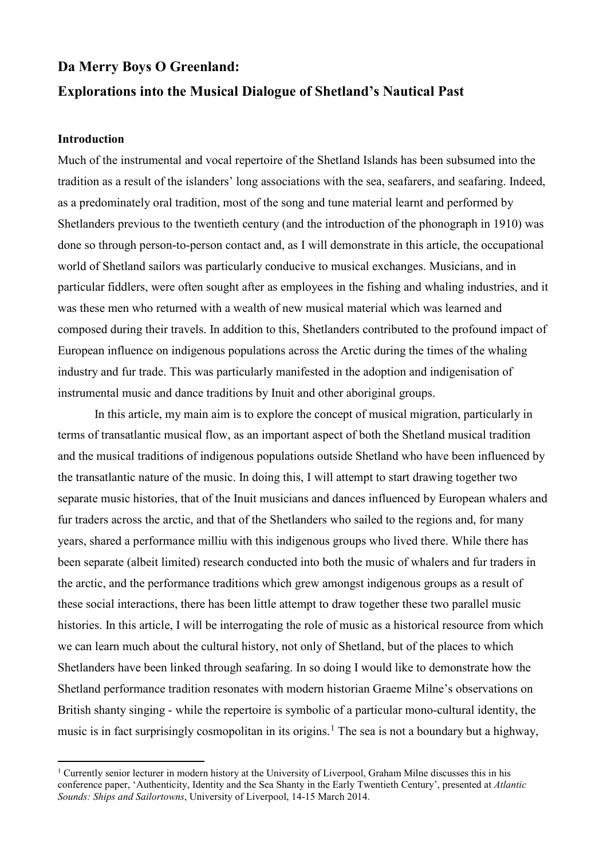# **Da Merry Boys O Greenland: Explorations into the Musical Dialogue of Shetland's Nautical Past**

#### **Introduction**

-

Much of the instrumental and vocal repertoire of the Shetland Islands has been subsumed into the tradition as a result of the islanders' long associations with the sea, seafarers, and seafaring. Indeed, as a predominately oral tradition, most of the song and tune material learnt and performed by Shetlanders previous to the twentieth century (and the introduction of the phonograph in 1910) was done so through person-to-person contact and, as I will demonstrate in this article, the occupational world of Shetland sailors was particularly conducive to musical exchanges. Musicians, and in particular fiddlers, were often sought after as employees in the fishing and whaling industries, and it was these men who returned with a wealth of new musical material which was learned and composed during their travels. In addition to this, Shetlanders contributed to the profound impact of European influence on indigenous populations across the Arctic during the times of the whaling industry and fur trade. This was particularly manifested in the adoption and indigenisation of instrumental music and dance traditions by Inuit and other aboriginal groups.

In this article, my main aim is to explore the concept of musical migration, particularly in terms of transatlantic musical flow, as an important aspect of both the Shetland musical tradition and the musical traditions of indigenous populations outside Shetland who have been influenced by the transatlantic nature of the music. In doing this, I will attempt to start drawing together two separate music histories, that of the Inuit musicians and dances influenced by European whalers and fur traders across the arctic, and that of the Shetlanders who sailed to the regions and, for many years, shared a performance milliu with this indigenous groups who lived there. While there has been separate (albeit limited) research conducted into both the music of whalers and fur traders in the arctic, and the performance traditions which grew amongst indigenous groups as a result of these social interactions, there has been little attempt to draw together these two parallel music histories. In this article, I will be interrogating the role of music as a historical resource from which we can learn much about the cultural history, not only of Shetland, but of the places to which Shetlanders have been linked through seafaring. In so doing I would like to demonstrate how the Shetland performance tradition resonates with modern historian Graeme Milne's observations on British shanty singing - while the repertoire is symbolic of a particular mono-cultural identity, the music is in fact surprisingly cosmopolitan in its origins.<sup>[1](#page-0-0)</sup> The sea is not a boundary but a highway,

<span id="page-0-0"></span><sup>&</sup>lt;sup>1</sup> Currently senior lecturer in modern history at the University of Liverpool, Graham Milne discusses this in his conference paper, 'Authenticity, Identity and the Sea Shanty in the Early Twentieth Century', presented at *Atlantic Sounds: Ships and Sailortowns*, University of Liverpool, 14-15 March 2014.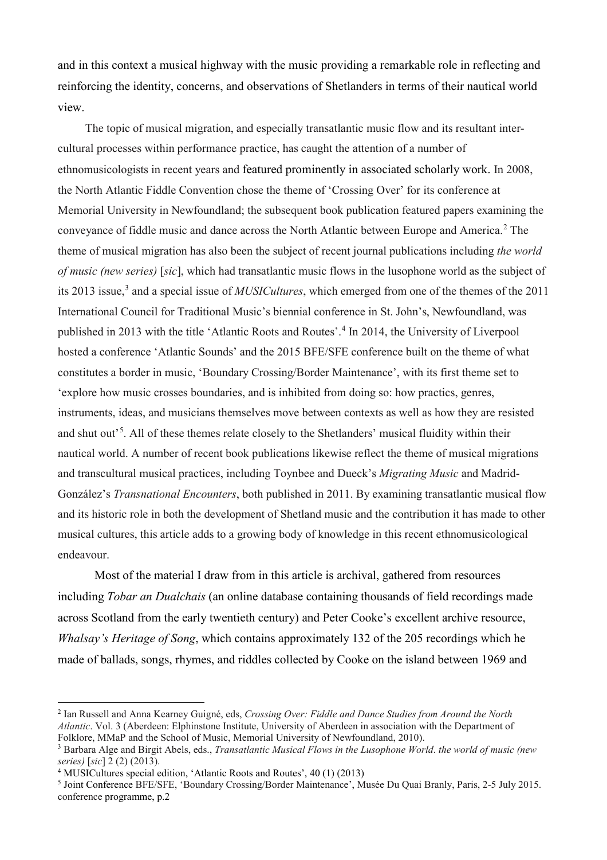and in this context a musical highway with the music providing a remarkable role in reflecting and reinforcing the identity, concerns, and observations of Shetlanders in terms of their nautical world view.

The topic of musical migration, and especially transatlantic music flow and its resultant intercultural processes within performance practice, has caught the attention of a number of ethnomusicologists in recent years and featured prominently in associated scholarly work. In 2008, the North Atlantic Fiddle Convention chose the theme of 'Crossing Over' for its conference at Memorial University in Newfoundland; the subsequent book publication featured papers examining the conveyance of fiddle music and dance across the North Atlantic between Europe and America.<sup>[2](#page-1-0)</sup> The theme of musical migration has also been the subject of recent journal publications including *the world of music (new series)* [*sic*], which had transatlantic music flows in the lusophone world as the subject of its 201[3](#page-1-1) issue,<sup>3</sup> and a special issue of *MUSICultures*, which emerged from one of the themes of the 2011 International Council for Traditional Music's biennial conference in St. John's, Newfoundland, was published in 2013 with the title 'Atlantic Roots and Routes'.[4](#page-1-2) In 2014, the University of Liverpool hosted a conference 'Atlantic Sounds' and the 2015 BFE/SFE conference built on the theme of what constitutes a border in music, 'Boundary Crossing/Border Maintenance', with its first theme set to 'explore how music crosses boundaries, and is inhibited from doing so: how practics, genres, instruments, ideas, and musicians themselves move between contexts as well as how they are resisted and shut out<sup>[5](#page-1-3)</sup>. All of these themes relate closely to the Shetlanders' musical fluidity within their nautical world. A number of recent book publications likewise reflect the theme of musical migrations and transcultural musical practices, including Toynbee and Dueck's *Migrating Music* and Madrid-González's *Transnational Encounters*, both published in 2011. By examining transatlantic musical flow and its historic role in both the development of Shetland music and the contribution it has made to other musical cultures, this article adds to a growing body of knowledge in this recent ethnomusicological endeavour.

Most of the material I draw from in this article is archival, gathered from resources including *Tobar an Dualchais* (an online database containing thousands of field recordings made across Scotland from the early twentieth century) and Peter Cooke's excellent archive resource, *Whalsay's Heritage of Song*, which contains approximately 132 of the 205 recordings which he made of ballads, songs, rhymes, and riddles collected by Cooke on the island between 1969 and

<span id="page-1-0"></span><sup>2</sup> Ian Russell and Anna Kearney Guigné, eds, *Crossing Over: Fiddle and Dance Studies from Around the North Atlantic*. Vol. 3 (Aberdeen: Elphinstone Institute, University of Aberdeen in association with the Department of Folklore, MMaP and the School of Music, Memorial University of Newfoundland, 2010).

<span id="page-1-1"></span><sup>3</sup> Barbara Alge and Birgit Abels, eds., *Transatlantic Musical Flows in the Lusophone World*. *the world of music (new series)* [*sic*] 2 (2) (2013).

<span id="page-1-2"></span><sup>4</sup> MUSICultures special edition, 'Atlantic Roots and Routes', 40 (1) (2013)

<span id="page-1-3"></span><sup>5</sup> Joint Conference BFE/SFE, 'Boundary Crossing/Border Maintenance', Musée Du Quai Branly, Paris, 2-5 July 2015. conference programme, p.2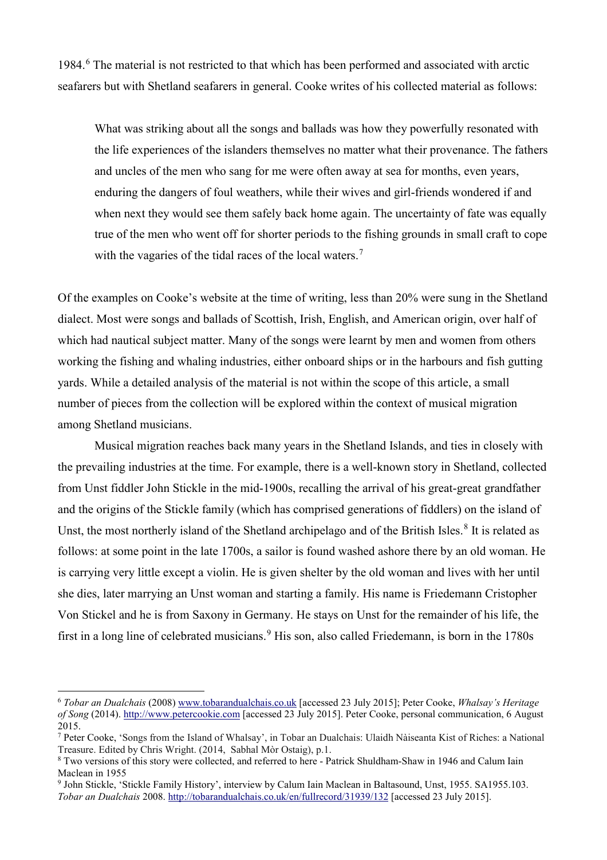1984.[6](#page-2-0) The material is not restricted to that which has been performed and associated with arctic seafarers but with Shetland seafarers in general. Cooke writes of his collected material as follows:

What was striking about all the songs and ballads was how they powerfully resonated with the life experiences of the islanders themselves no matter what their provenance. The fathers and uncles of the men who sang for me were often away at sea for months, even years, enduring the dangers of foul weathers, while their wives and girl-friends wondered if and when next they would see them safely back home again. The uncertainty of fate was equally true of the men who went off for shorter periods to the fishing grounds in small craft to cope with the vagaries of the tidal races of the local waters.<sup>[7](#page-2-1)</sup>

Of the examples on Cooke's website at the time of writing, less than 20% were sung in the Shetland dialect. Most were songs and ballads of Scottish, Irish, English, and American origin, over half of which had nautical subject matter. Many of the songs were learnt by men and women from others working the fishing and whaling industries, either onboard ships or in the harbours and fish gutting yards. While a detailed analysis of the material is not within the scope of this article, a small number of pieces from the collection will be explored within the context of musical migration among Shetland musicians.

Musical migration reaches back many years in the Shetland Islands, and ties in closely with the prevailing industries at the time. For example, there is a well-known story in Shetland, collected from Unst fiddler John Stickle in the mid-1900s, recalling the arrival of his great-great grandfather and the origins of the Stickle family (which has comprised generations of fiddlers) on the island of Unst, the most northerly island of the Shetland archipelago and of the British Isles.<sup>[8](#page-2-2)</sup> It is related as follows: at some point in the late 1700s, a sailor is found washed ashore there by an old woman. He is carrying very little except a violin. He is given shelter by the old woman and lives with her until she dies, later marrying an Unst woman and starting a family. His name is Friedemann Cristopher Von Stickel and he is from Saxony in Germany. He stays on Unst for the remainder of his life, the first in a long line of celebrated musicians.<sup>[9](#page-2-3)</sup> His son, also called Friedemann, is born in the 1780s

<span id="page-2-0"></span><sup>6</sup> *Tobar an Dualchais* (2008[\) www.tobarandualchais.co.uk](http://www.tobarandualchais.co.uk/) [accessed 23 July 2015]; Peter Cooke, *Whalsay's Heritage of Song* (2014). [http://www.petercookie.com](http://www.petercookie.com/) [accessed 23 July 2015]. Peter Cooke, personal communication, 6 August 2015.

<span id="page-2-1"></span><sup>7</sup> Peter Cooke, 'Songs from the Island of Whalsay', in Tobar an Dualchais: Ulaidh Nàiseanta Kist of Riches: a National Treasure. Edited by Chris Wright. (2014, Sabhal Mòr Ostaig), p.1.

<span id="page-2-2"></span><sup>8</sup> Two versions of this story were collected, and referred to here - Patrick Shuldham-Shaw in 1946 and Calum Iain Maclean in 1955

<span id="page-2-3"></span><sup>9</sup> John Stickle, 'Stickle Family History', interview by Calum Iain Maclean in Baltasound, Unst, 1955. SA1955.103. *Tobar an Dualchais* 2008. <http://tobarandualchais.co.uk/en/fullrecord/31939/132> [accessed 23 July 2015].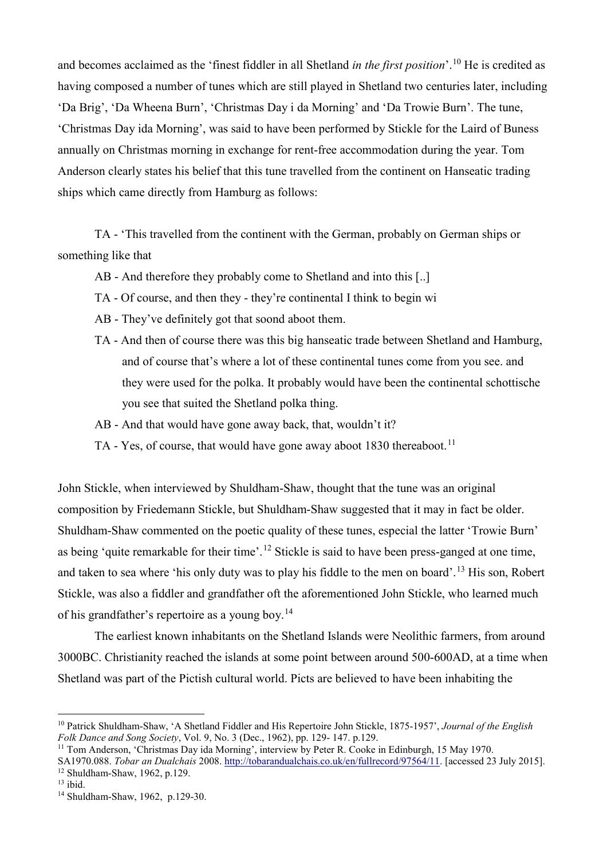and becomes acclaimed as the 'finest fiddler in all Shetland *in the first position*'.[10](#page-3-0) He is credited as having composed a number of tunes which are still played in Shetland two centuries later, including 'Da Brig', 'Da Wheena Burn', 'Christmas Day i da Morning' and 'Da Trowie Burn'. The tune, 'Christmas Day ida Morning', was said to have been performed by Stickle for the Laird of Buness annually on Christmas morning in exchange for rent-free accommodation during the year. Tom Anderson clearly states his belief that this tune travelled from the continent on Hanseatic trading ships which came directly from Hamburg as follows:

TA - 'This travelled from the continent with the German, probably on German ships or something like that

AB - And therefore they probably come to Shetland and into this [..]

- TA Of course, and then they they're continental I think to begin wi
- AB They've definitely got that soond aboot them.
- TA And then of course there was this big hanseatic trade between Shetland and Hamburg, and of course that's where a lot of these continental tunes come from you see. and they were used for the polka. It probably would have been the continental schottische you see that suited the Shetland polka thing.
- AB And that would have gone away back, that, wouldn't it?
- TA Yes, of course, that would have gone away aboot 1830 thereaboot.<sup>[11](#page-3-1)</sup>

John Stickle, when interviewed by Shuldham-Shaw, thought that the tune was an original composition by Friedemann Stickle, but Shuldham-Shaw suggested that it may in fact be older. Shuldham-Shaw commented on the poetic quality of these tunes, especial the latter 'Trowie Burn' as being 'quite remarkable for their time'.<sup>[12](#page-3-2)</sup> Stickle is said to have been press-ganged at one time, and taken to sea where 'his only duty was to play his fiddle to the men on board'.<sup>[13](#page-3-3)</sup> His son, Robert Stickle, was also a fiddler and grandfather oft the aforementioned John Stickle, who learned much of his grandfather's repertoire as a young boy.[14](#page-3-4)

The earliest known inhabitants on the Shetland Islands were Neolithic farmers, from around 3000BC. Christianity reached the islands at some point between around 500-600AD, at a time when Shetland was part of the Pictish cultural world. Picts are believed to have been inhabiting the

<span id="page-3-0"></span> $\overline{a}$ <sup>10</sup> Patrick Shuldham-Shaw, 'A Shetland Fiddler and His Repertoire John Stickle, 1875-1957', *Journal of the English Folk Dance and Song Society*, Vol. 9, No. 3 (Dec., 1962), pp. 129- 147. p.129.

<span id="page-3-1"></span><sup>&</sup>lt;sup>11</sup> Tom Anderson, 'Christmas Day ida Morning', interview by Peter R. Cooke in Edinburgh, 15 May 1970.

<span id="page-3-2"></span>SA1970.088. *Tobar an Dualchais* 2008. [http://tobarandualchais.co.uk/en/fullrecord/97564/11.](http://tobarandualchais.co.uk/en/fullrecord/97564/11) [accessed 23 July 2015].  $12$  Shuldham-Shaw, 1962, p.129.<br> $13$  ibid.

<span id="page-3-3"></span>

<span id="page-3-4"></span><sup>&</sup>lt;sup>14</sup> Shuldham-Shaw, 1962, p.129-30.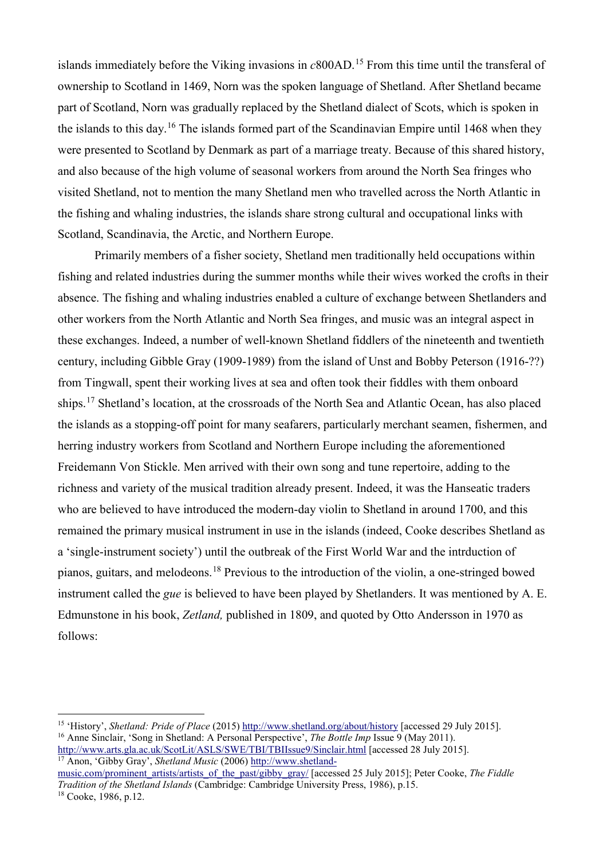islands immediately before the Viking invasions in *c*800AD.[15](#page-4-0) From this time until the transferal of ownership to Scotland in 1469, Norn was the spoken language of Shetland. After Shetland became part of Scotland, Norn was gradually replaced by the Shetland dialect of Scots, which is spoken in the islands to this day.<sup>[16](#page-4-1)</sup> The islands formed part of the Scandinavian Empire until 1468 when they were presented to Scotland by Denmark as part of a marriage treaty. Because of this shared history, and also because of the high volume of seasonal workers from around the North Sea fringes who visited Shetland, not to mention the many Shetland men who travelled across the North Atlantic in the fishing and whaling industries, the islands share strong cultural and occupational links with Scotland, Scandinavia, the Arctic, and Northern Europe.

Primarily members of a fisher society, Shetland men traditionally held occupations within fishing and related industries during the summer months while their wives worked the crofts in their absence. The fishing and whaling industries enabled a culture of exchange between Shetlanders and other workers from the North Atlantic and North Sea fringes, and music was an integral aspect in these exchanges. Indeed, a number of well-known Shetland fiddlers of the nineteenth and twentieth century, including Gibble Gray (1909-1989) from the island of Unst and Bobby Peterson (1916-??) from Tingwall, spent their working lives at sea and often took their fiddles with them onboard ships.<sup>[17](#page-4-2)</sup> Shetland's location, at the crossroads of the North Sea and Atlantic Ocean, has also placed the islands as a stopping-off point for many seafarers, particularly merchant seamen, fishermen, and herring industry workers from Scotland and Northern Europe including the aforementioned Freidemann Von Stickle. Men arrived with their own song and tune repertoire, adding to the richness and variety of the musical tradition already present. Indeed, it was the Hanseatic traders who are believed to have introduced the modern-day violin to Shetland in around 1700, and this remained the primary musical instrument in use in the islands (indeed, Cooke describes Shetland as a 'single-instrument society') until the outbreak of the First World War and the intrduction of pianos, guitars, and melodeons.[18](#page-4-3) Previous to the introduction of the violin, a one-stringed bowed instrument called the *gue* is believed to have been played by Shetlanders. It was mentioned by A. E. Edmunstone in his book, *Zetland,* published in 1809, and quoted by Otto Andersson in 1970 as follows:

 $\overline{a}$ 

<span id="page-4-3"></span>[music.com/prominent\\_artists/artists\\_of\\_the\\_past/gibby\\_gray/](http://www.shetland-music.com/prominent_artists/artists_of_the_past/gibby_gray/) [accessed 25 July 2015]; Peter Cooke, *The Fiddle Tradition of the Shetland Islands* (Cambridge: Cambridge University Press, 1986), p.15. <sup>18</sup> Cooke, 1986, p.12.

<span id="page-4-1"></span><span id="page-4-0"></span><sup>15</sup> 'History', *Shetland: Pride of Place* (2015[\) http://www.shetland.org/about/history](http://www.shetland.org/about/history) [accessed 29 July 2015]. <sup>16</sup> Anne Sinclair, 'Song in Shetland: A Personal Perspective', *The Bottle Imp* Issue 9 (May 2011). <http://www.arts.gla.ac.uk/ScotLit/ASLS/SWE/TBI/TBIIssue9/Sinclair.html> [accessed 28 July 2015].

<span id="page-4-2"></span><sup>17</sup> Anon, 'Gibby Gray', *Shetland Music* (2006) [http://www.shetland-](http://www.shetland-music.com/prominent_artists/artists_of_the_past/gibby_gray/)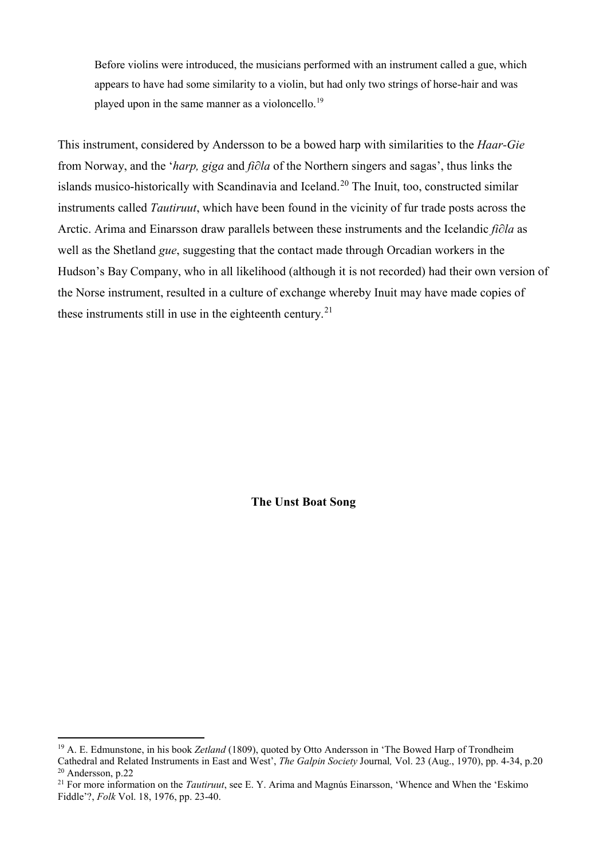Before violins were introduced, the musicians performed with an instrument called a gue, which appears to have had some similarity to a violin, but had only two strings of horse-hair and was played upon in the same manner as a violoncello.<sup>[19](#page-5-0)</sup>

This instrument, considered by Andersson to be a bowed harp with similarities to the *Haar-Gie* from Norway, and the '*harp, giga* and *fi∂la* of the Northern singers and sagas', thus links the islands musico-historically with Scandinavia and Iceland.<sup>[20](#page-5-1)</sup> The Inuit, too, constructed similar instruments called *Tautiruut*, which have been found in the vicinity of fur trade posts across the Arctic. Arima and Einarsson draw parallels between these instruments and the Icelandic *fi∂la* as well as the Shetland *gue*, suggesting that the contact made through Orcadian workers in the Hudson's Bay Company, who in all likelihood (although it is not recorded) had their own version of the Norse instrument, resulted in a culture of exchange whereby Inuit may have made copies of these instruments still in use in the eighteenth century.<sup>[21](#page-5-2)</sup>

**The Unst Boat Song**

 $\ddot{\phantom{a}}$ 

<span id="page-5-0"></span><sup>19</sup> A. E. Edmunstone, in his book *Zetland* (1809), quoted by Otto Andersson in 'The Bowed Harp of Trondheim Cathedral and Related Instruments in East and West', *The Galpin Society* Journal*,* Vol. 23 (Aug., 1970), pp. 4-34, p.20 <sup>20</sup> Andersson, p.22

<span id="page-5-2"></span><span id="page-5-1"></span><sup>&</sup>lt;sup>21</sup> For more information on the *Tautiruut*, see E. Y. Arima and Magnús Einarsson, 'Whence and When the 'Eskimo' Fiddle'?, *Folk* Vol. 18, 1976, pp. 23-40.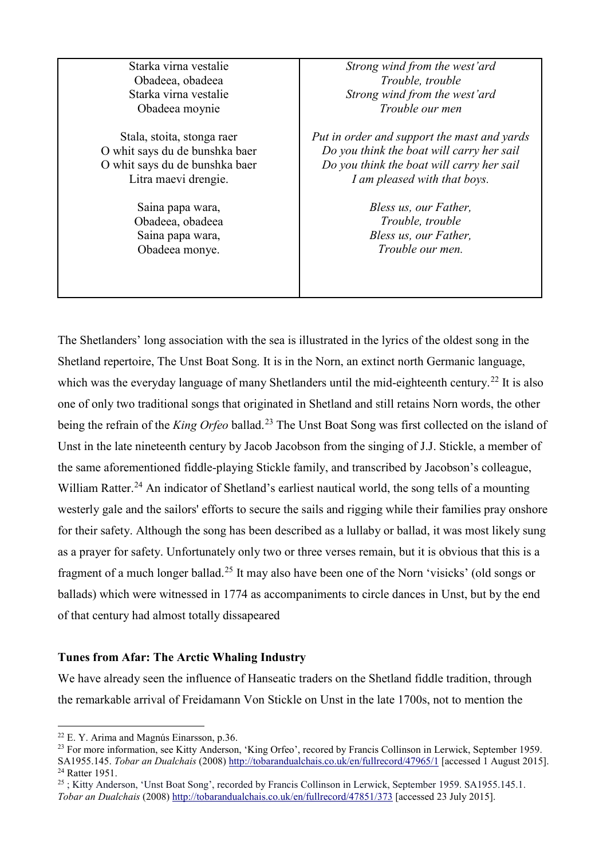| Starka virna vestalie          | Strong wind from the west'ard               |
|--------------------------------|---------------------------------------------|
| Obadeea, obadeea               | Trouble, trouble                            |
| Starka virna vestalie          | Strong wind from the west'ard               |
| Obadeea moynie                 | Trouble our men                             |
| Stala, stoita, stonga raer     | Put in order and support the mast and yards |
| O whit says du de bunshka baer | Do you think the boat will carry her sail   |
| O whit says du de bunshka baer | Do you think the boat will carry her sail   |
| Litra maevi drengie.           | I am pleased with that boys.                |
| Saina papa wara,               | Bless us, our Father,                       |
| Obadeea, obadeea               | Trouble, trouble                            |
| Saina papa wara,               | Bless us, our Father,                       |
| Obadeea monye.                 | Trouble our men.                            |
|                                |                                             |
|                                |                                             |
|                                |                                             |

The Shetlanders' long association with the sea is illustrated in the lyrics of the oldest song in the Shetland repertoire, The Unst Boat Song. It is in the Norn, an extinct north Germanic language, which was the everyday language of many Shetlanders until the mid-eighteenth century.<sup>[22](#page-6-0)</sup> It is also one of only two traditional songs that originated in Shetland and still retains Norn words, the other being the refrain of the *King Orfeo* ballad.[23](#page-6-1) The Unst Boat Song was first collected on the island of Unst in the late nineteenth century by Jacob Jacobson from the singing of J.J. Stickle, a member of the same aforementioned fiddle-playing Stickle family, and transcribed by Jacobson's colleague, William Ratter.<sup>[24](#page-6-2)</sup> An indicator of Shetland's earliest nautical world, the song tells of a mounting westerly gale and the sailors' efforts to secure the sails and rigging while their families pray onshore for their safety. Although the song has been described as a lullaby or ballad, it was most likely sung as a prayer for safety. Unfortunately only two or three verses remain, but it is obvious that this is a fragment of a much longer ballad.[25](#page-6-3) It may also have been one of the Norn 'visicks' (old songs or ballads) which were witnessed in 1774 as accompaniments to circle dances in Unst, but by the end of that century had almost totally dissapeared

# **Tunes from Afar: The Arctic Whaling Industry**

We have already seen the influence of Hanseatic traders on the Shetland fiddle tradition, through the remarkable arrival of Freidamann Von Stickle on Unst in the late 1700s, not to mention the

<span id="page-6-0"></span> $22$  E. Y. Arima and Magnús Einarsson, p.36.

<span id="page-6-1"></span><sup>&</sup>lt;sup>23</sup> For more information, see Kitty Anderson, 'King Orfeo', recored by Francis Collinson in Lerwick, September 1959. SA1955.145. *Tobar an Dualchais* (2008)<http://tobarandualchais.co.uk/en/fullrecord/47965/1> [accessed 1 August 2015]. <sup>24</sup> Ratter 1951.

<span id="page-6-3"></span><span id="page-6-2"></span><sup>&</sup>lt;sup>25</sup>; Kitty Anderson, 'Unst Boat Song', recorded by Francis Collinson in Lerwick, September 1959. SA1955.145.1. *Tobar an Dualchais* (2008) <http://tobarandualchais.co.uk/en/fullrecord/47851/373> [accessed 23 July 2015].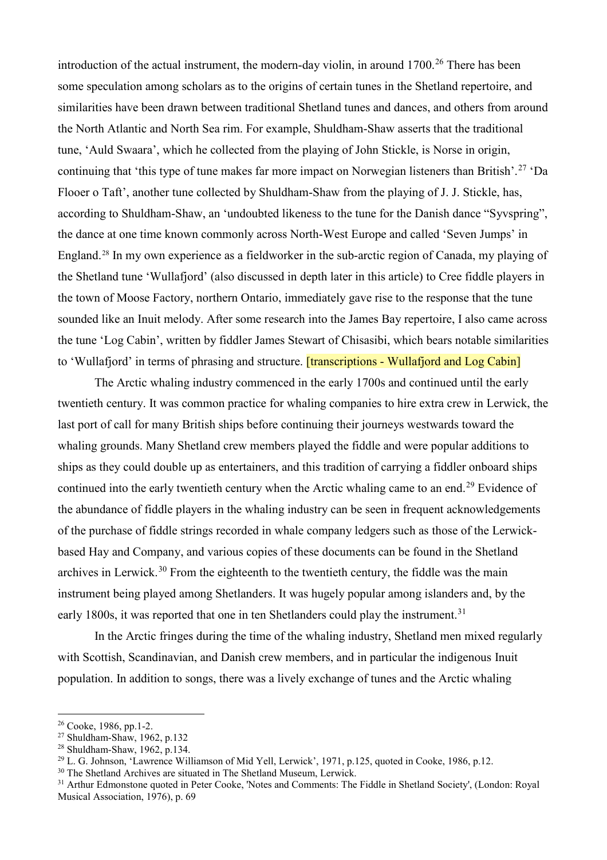introduction of the actual instrument, the modern-day violin, in around  $1700<sup>26</sup>$  $1700<sup>26</sup>$  $1700<sup>26</sup>$  There has been some speculation among scholars as to the origins of certain tunes in the Shetland repertoire, and similarities have been drawn between traditional Shetland tunes and dances, and others from around the North Atlantic and North Sea rim. For example, Shuldham-Shaw asserts that the traditional tune, 'Auld Swaara', which he collected from the playing of John Stickle, is Norse in origin, continuing that 'this type of tune makes far more impact on Norwegian listeners than British'.<sup>[27](#page-7-1)</sup> 'Da Flooer o Taft', another tune collected by Shuldham-Shaw from the playing of J. J. Stickle, has, according to Shuldham-Shaw, an 'undoubted likeness to the tune for the Danish dance "Syvspring", the dance at one time known commonly across North-West Europe and called 'Seven Jumps' in England.[28](#page-7-2) In my own experience as a fieldworker in the sub-arctic region of Canada, my playing of the Shetland tune 'Wullafjord' (also discussed in depth later in this article) to Cree fiddle players in the town of Moose Factory, northern Ontario, immediately gave rise to the response that the tune sounded like an Inuit melody. After some research into the James Bay repertoire, I also came across the tune 'Log Cabin', written by fiddler James Stewart of Chisasibi, which bears notable similarities to 'Wullafjord' in terms of phrasing and structure. **[transcriptions - Wullafjord and Log Cabin]** 

The Arctic whaling industry commenced in the early 1700s and continued until the early twentieth century. It was common practice for whaling companies to hire extra crew in Lerwick, the last port of call for many British ships before continuing their journeys westwards toward the whaling grounds. Many Shetland crew members played the fiddle and were popular additions to ships as they could double up as entertainers, and this tradition of carrying a fiddler onboard ships continued into the early twentieth century when the Arctic whaling came to an end.<sup>[29](#page-7-3)</sup> Evidence of the abundance of fiddle players in the whaling industry can be seen in frequent acknowledgements of the purchase of fiddle strings recorded in whale company ledgers such as those of the Lerwickbased Hay and Company, and various copies of these documents can be found in the Shetland archives in Lerwick.<sup>[30](#page-7-4)</sup> From the eighteenth to the twentieth century, the fiddle was the main instrument being played among Shetlanders. It was hugely popular among islanders and, by the early 1800s, it was reported that one in ten Shetlanders could play the instrument.<sup>[31](#page-7-5)</sup>

In the Arctic fringes during the time of the whaling industry, Shetland men mixed regularly with Scottish, Scandinavian, and Danish crew members, and in particular the indigenous Inuit population. In addition to songs, there was a lively exchange of tunes and the Arctic whaling

 $\overline{a}$ 

<span id="page-7-0"></span><sup>26</sup> Cooke, 1986, pp.1-2.

<span id="page-7-1"></span><sup>&</sup>lt;sup>27</sup> Shuldham-Shaw, 1962, p.132<br><sup>28</sup> Shuldham-Shaw, 1962, p.134.

<span id="page-7-2"></span>

<span id="page-7-3"></span><sup>&</sup>lt;sup>29</sup> L. G. Johnson, 'Lawrence Williamson of Mid Yell, Lerwick', 1971, p.125, quoted in Cooke, 1986, p.12. <sup>30</sup> The Shetland Archives are situated in The Shetland Museum, Lerwick.

<span id="page-7-4"></span>

<span id="page-7-5"></span><sup>&</sup>lt;sup>31</sup> Arthur Edmonstone quoted in Peter Cooke, 'Notes and Comments: The Fiddle in Shetland Society', (London: Royal Musical Association, 1976), p. 69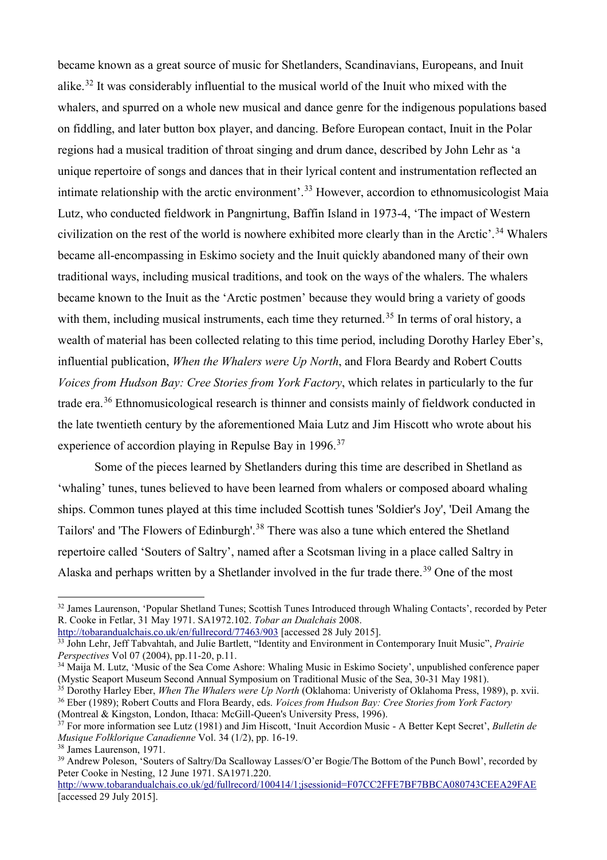became known as a great source of music for Shetlanders, Scandinavians, Europeans, and Inuit alike.[32](#page-8-0) It was considerably influential to the musical world of the Inuit who mixed with the whalers, and spurred on a whole new musical and dance genre for the indigenous populations based on fiddling, and later button box player, and dancing. Before European contact, Inuit in the Polar regions had a musical tradition of throat singing and drum dance, described by John Lehr as 'a unique repertoire of songs and dances that in their lyrical content and instrumentation reflected an intimate relationship with the arctic environment'.<sup>[33](#page-8-1)</sup> However, accordion to ethnomusicologist Maia Lutz, who conducted fieldwork in Pangnirtung, Baffin Island in 1973-4, 'The impact of Western civilization on the rest of the world is nowhere exhibited more clearly than in the Arctic'.<sup>[34](#page-8-2)</sup> Whalers became all-encompassing in Eskimo society and the Inuit quickly abandoned many of their own traditional ways, including musical traditions, and took on the ways of the whalers. The whalers became known to the Inuit as the 'Arctic postmen' because they would bring a variety of goods with them, including musical instruments, each time they returned.<sup>[35](#page-8-3)</sup> In terms of oral history, a wealth of material has been collected relating to this time period, including Dorothy Harley Eber's, influential publication, *When the Whalers were Up North*, and Flora Beardy and Robert Coutts *Voices from Hudson Bay: Cree Stories from York Factory*, which relates in particularly to the fur trade era.[36](#page-8-4) Ethnomusicological research is thinner and consists mainly of fieldwork conducted in the late twentieth century by the aforementioned Maia Lutz and Jim Hiscott who wrote about his experience of accordion playing in Repulse Bay in 1996.<sup>[37](#page-8-5)</sup>

Some of the pieces learned by Shetlanders during this time are described in Shetland as 'whaling' tunes, tunes believed to have been learned from whalers or composed aboard whaling ships. Common tunes played at this time included Scottish tunes 'Soldier's Joy', 'Deil Amang the Tailors' and 'The Flowers of Edinburgh'.<sup>[38](#page-8-6)</sup> There was also a tune which entered the Shetland repertoire called 'Souters of Saltry', named after a Scotsman living in a place called Saltry in Alaska and perhaps written by a Shetlander involved in the fur trade there.<sup>[39](#page-8-7)</sup> One of the most

<span id="page-8-0"></span><sup>&</sup>lt;sup>32</sup> James Laurenson, 'Popular Shetland Tunes; Scottish Tunes Introduced through Whaling Contacts', recorded by Peter R. Cooke in Fetlar, 31 May 1971. SA1972.102. *Tobar an Dualchais* 2008.

<http://tobarandualchais.co.uk/en/fullrecord/77463/903> [accessed 28 July 2015].

<span id="page-8-1"></span><sup>33</sup> John Lehr, Jeff Tabvahtah, and Julie Bartlett, "Identity and Environment in Contemporary Inuit Music", *Prairie Perspectives* Vol 07 (2004), pp.11-20, p.11.

<span id="page-8-2"></span><sup>&</sup>lt;sup>34</sup> Maija M. Lutz, 'Music of the Sea Come Ashore: Whaling Music in Eskimo Society', unpublished conference paper (Mystic Seaport Museum Second Annual Symposium on Traditional Music of the Sea, 30-31 May 1981).

<sup>&</sup>lt;sup>35</sup> Dorothy Harley Eber, *When The Whalers were Up North* (Oklahoma: Univeristy of Oklahoma Press, 1989), p. xvii.

<span id="page-8-4"></span><span id="page-8-3"></span><sup>36</sup> Eber (1989); Robert Coutts and Flora Beardy, eds. *Voices from Hudson Bay: Cree Stories from York Factory* (Montreal & Kingston, London, Ithaca: McGill-Queen's University Press, 1996).

<span id="page-8-5"></span><sup>37</sup> For more information see Lutz (1981) and Jim Hiscott, 'Inuit Accordion Music - A Better Kept Secret', *Bulletin de* 

<span id="page-8-7"></span><span id="page-8-6"></span><sup>&</sup>lt;sup>38</sup> James Laurenson, 1971.<br><sup>39</sup> Andrew Poleson, 'Souters of Saltry/Da Scalloway Lasses/O'er Bogie/The Bottom of the Punch Bowl', recorded by Peter Cooke in Nesting, 12 June 1971. SA1971.220.

<http://www.tobarandualchais.co.uk/gd/fullrecord/100414/1;jsessionid=F07CC2FFE7BF7BBCA080743CEEA29FAE> [accessed 29 July 2015].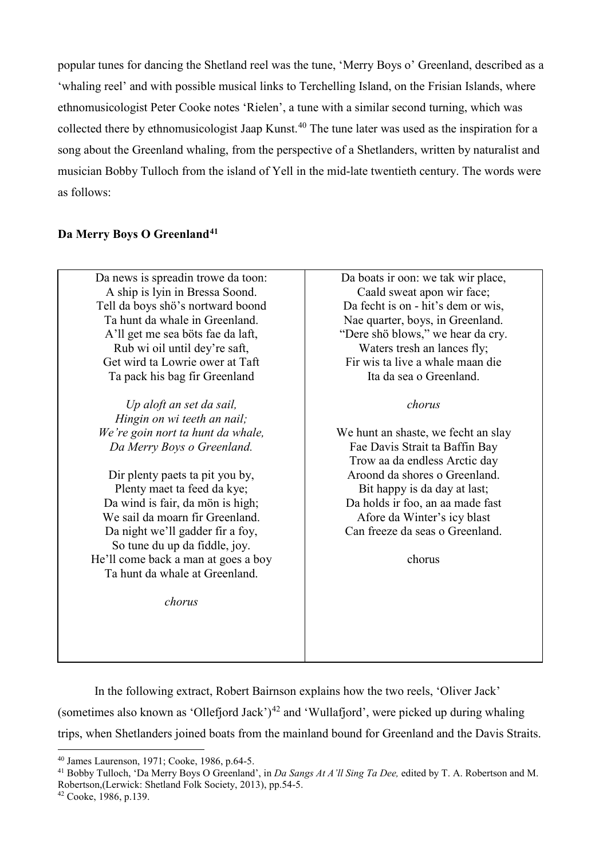popular tunes for dancing the Shetland reel was the tune, 'Merry Boys o' Greenland, described as a 'whaling reel' and with possible musical links to Terchelling Island, on the Frisian Islands, where ethnomusicologist Peter Cooke notes 'Rielen', a tune with a similar second turning, which was collected there by ethnomusicologist Jaap Kunst.<sup>[40](#page-9-0)</sup> The tune later was used as the inspiration for a song about the Greenland whaling, from the perspective of a Shetlanders, written by naturalist and musician Bobby Tulloch from the island of Yell in the mid-late twentieth century. The words were as follows:

# **Da Merry Boys O Greenland[41](#page-9-1)**

Da news is spreadin trowe da toon: A ship is lyin in Bressa Soond. Tell da boys shö's nortward boond Ta hunt da whale in Greenland. A'll get me sea böts fae da laft, Rub wi oil until dey're saft, Get wird ta Lowrie ower at Taft Ta pack his bag fir Greenland

*Up aloft an set da sail, Hingin on wi teeth an nail; We're goin nort ta hunt da whale, Da Merry Boys o Greenland.*

Dir plenty paets ta pit you by, Plenty maet ta feed da kye; Da wind is fair, da mön is high; We sail da moarn fir Greenland. Da night we'll gadder fir a foy, So tune du up da fiddle, joy. He'll come back a man at goes a boy Ta hunt da whale at Greenland.

*chorus*

Da boats ir oon: we tak wir place, Caald sweat apon wir face; Da fecht is on - hit's dem or wis, Nae quarter, boys, in Greenland. "Dere shö blows," we hear da cry. Waters tresh an lances fly; Fir wis ta live a whale maan die Ita da sea o Greenland.

# *chorus*

We hunt an shaste, we fecht an slay Fae Davis Strait ta Baffin Bay Trow aa da endless Arctic day Aroond da shores o Greenland. Bit happy is da day at last; Da holds ir foo, an aa made fast Afore da Winter's icy blast Can freeze da seas o Greenland.

chorus

In the following extract, Robert Bairnson explains how the two reels, 'Oliver Jack' (sometimes also known as 'Ollefjord Jack')<sup>[42](#page-9-2)</sup> and 'Wullafjord', were picked up during whaling trips, when Shetlanders joined boats from the mainland bound for Greenland and the Davis Straits.

 $\ddot{\phantom{a}}$ 

<sup>40</sup> James Laurenson, 1971; Cooke, 1986, p.64-5.

<span id="page-9-1"></span><span id="page-9-0"></span><sup>41</sup> Bobby Tulloch, 'Da Merry Boys O Greenland', in *Da Sangs At A'll Sing Ta Dee,* edited by T. A. Robertson and M. Robertson,(Lerwick: Shetland Folk Society, 2013), pp.54-5.

<span id="page-9-2"></span><sup>42</sup> Cooke, 1986, p.139.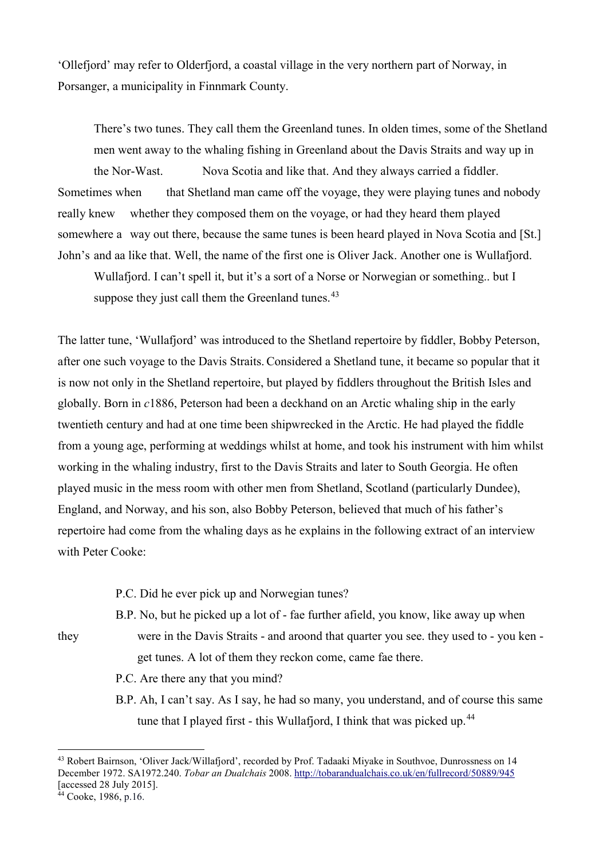'Ollefjord' may refer to Olderfjord, a coastal village in the very northern part of Norway, in Porsanger, a municipality in Finnmark County.

There's two tunes. They call them the Greenland tunes. In olden times, some of the Shetland men went away to the whaling fishing in Greenland about the Davis Straits and way up in the Nor-Wast. Nova Scotia and like that. And they always carried a fiddler. Sometimes when that Shetland man came off the voyage, they were playing tunes and nobody really knew whether they composed them on the voyage, or had they heard them played somewhere a way out there, because the same tunes is been heard played in Nova Scotia and [St.] John's and aa like that. Well, the name of the first one is Oliver Jack. Another one is Wullafjord.

Wullafjord. I can't spell it, but it's a sort of a Norse or Norwegian or something.. but I suppose they just call them the Greenland tunes.<sup>43</sup>

The latter tune, 'Wullafjord' was introduced to the Shetland repertoire by fiddler, Bobby Peterson, after one such voyage to the Davis Straits. Considered a Shetland tune, it became so popular that it is now not only in the Shetland repertoire, but played by fiddlers throughout the British Isles and globally. Born in *c*1886, Peterson had been a deckhand on an Arctic whaling ship in the early twentieth century and had at one time been shipwrecked in the Arctic. He had played the fiddle from a young age, performing at weddings whilst at home, and took his instrument with him whilst working in the whaling industry, first to the Davis Straits and later to South Georgia. He often played music in the mess room with other men from Shetland, Scotland (particularly Dundee), England, and Norway, and his son, also Bobby Peterson, believed that much of his father's repertoire had come from the whaling days as he explains in the following extract of an interview with Peter Cooke:

P.C. Did he ever pick up and Norwegian tunes?

B.P. No, but he picked up a lot of - fae further afield, you know, like away up when

they were in the Davis Straits - and aroond that quarter you see. they used to - you ken get tunes. A lot of them they reckon come, came fae there.

P.C. Are there any that you mind?

B.P. Ah, I can't say. As I say, he had so many, you understand, and of course this same tune that I played first - this Wullafjord, I think that was picked up.<sup>44</sup>

 $\ddot{\phantom{a}}$ 

<span id="page-10-0"></span><sup>43</sup> Robert Bairnson, 'Oliver Jack/Willafjord', recorded by Prof. Tadaaki Miyake in Southvoe, Dunrossness on 14 December 1972. SA1972.240. *Tobar an Dualchais* 2008[. http://tobarandualchais.co.uk/en/fullrecord/50889/945](http://tobarandualchais.co.uk/en/fullrecord/50889/945) [accessed 28 July 2015].

<span id="page-10-1"></span> $44$  Cooke, 1986, p.16.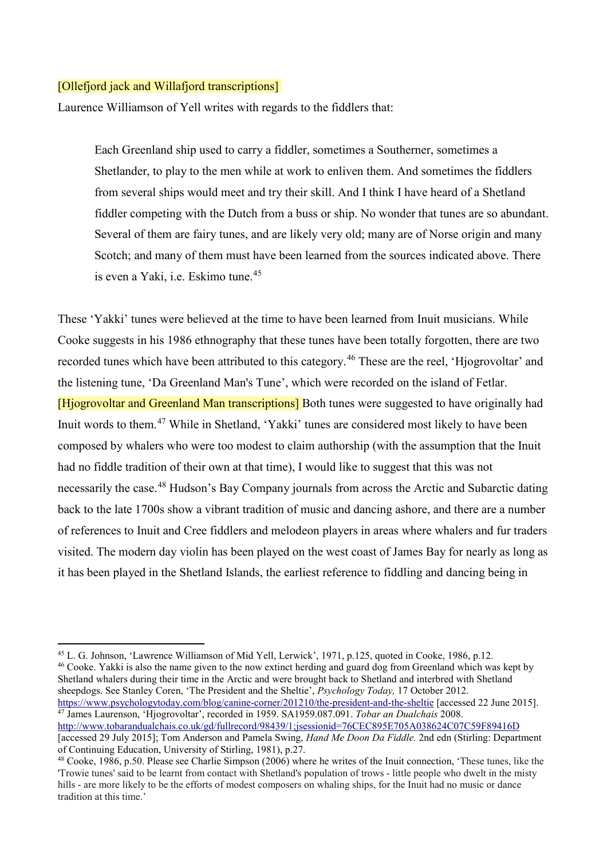#### [Ollefjord jack and Willafjord transcriptions]

 $\ddot{\phantom{a}}$ 

Laurence Williamson of Yell writes with regards to the fiddlers that:

Each Greenland ship used to carry a fiddler, sometimes a Southerner, sometimes a Shetlander, to play to the men while at work to enliven them. And sometimes the fiddlers from several ships would meet and try their skill. And I think I have heard of a Shetland fiddler competing with the Dutch from a buss or ship. No wonder that tunes are so abundant. Several of them are fairy tunes, and are likely very old; many are of Norse origin and many Scotch; and many of them must have been learned from the sources indicated above. There is even a Yaki, i.e. Eskimo tune.<sup>[45](#page-11-0)</sup>

These 'Yakki' tunes were believed at the time to have been learned from Inuit musicians. While Cooke suggests in his 1986 ethnography that these tunes have been totally forgotten, there are two recorded tunes which have been attributed to this category.<sup>[46](#page-11-1)</sup> These are the reel, 'Hjogrovoltar' and the listening tune, 'Da Greenland Man's Tune', which were recorded on the island of Fetlar. [Hjogrovoltar and Greenland Man transcriptions] Both tunes were suggested to have originally had Inuit words to them.[47](#page-11-2) While in Shetland, 'Yakki' tunes are considered most likely to have been composed by whalers who were too modest to claim authorship (with the assumption that the Inuit had no fiddle tradition of their own at that time), I would like to suggest that this was not necessarily the case.<sup>[48](#page-11-3)</sup> Hudson's Bay Company journals from across the Arctic and Subarctic dating back to the late 1700s show a vibrant tradition of music and dancing ashore, and there are a number of references to Inuit and Cree fiddlers and melodeon players in areas where whalers and fur traders visited. The modern day violin has been played on the west coast of James Bay for nearly as long as it has been played in the Shetland Islands, the earliest reference to fiddling and dancing being in

<span id="page-11-2"></span><sup>47</sup> James Laurenson, 'Hjogrovoltar', recorded in 1959. SA1959.087.091. *Tobar an Dualchais* 2008. <http://www.tobarandualchais.co.uk/gd/fullrecord/98439/1;jsessionid=76CEC895E705A038624C07C59F89416D>

<span id="page-11-1"></span><span id="page-11-0"></span><sup>&</sup>lt;sup>45</sup> L. G. Johnson, 'Lawrence Williamson of Mid Yell, Lerwick', 1971, p.125, quoted in Cooke, 1986, p.12.  $46$  Cooke. Yakki is also the name given to the now extinct herding and guard dog from Greenland which was kept by Shetland whalers during their time in the Arctic and were brought back to Shetland and interbred with Shetland sheepdogs. See Stanley Coren, 'The President and the Sheltie', *Psychology Today,* 17 October 2012. <https://www.psychologytoday.com/blog/canine-corner/201210/the-president-and-the-sheltie> [accessed 22 June 2015].

<sup>[</sup>accessed 29 July 2015]; Tom Anderson and Pamela Swing, *Hand Me Doon Da Fiddle.* 2nd edn (Stirling: Department of Continuing Education, University of Stirling, 1981), p.27.

<span id="page-11-3"></span><sup>48</sup> Cooke, 1986, p.50. Please see Charlie Simpson (2006) where he writes of the Inuit connection, 'These tunes, like the 'Trowie tunes' said to be learnt from contact with Shetland's population of trows - little people who dwelt in the misty hills - are more likely to be the efforts of modest composers on whaling ships, for the Inuit had no music or dance tradition at this time.'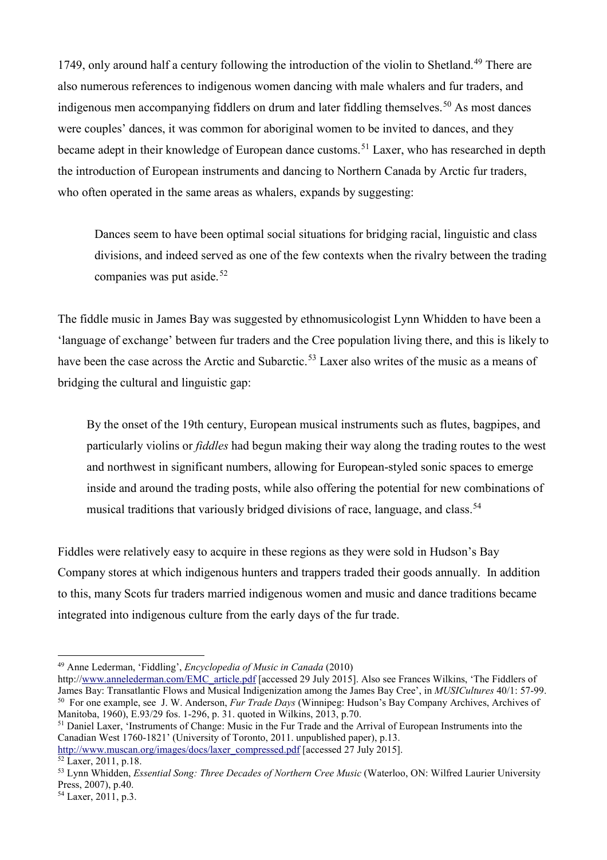17[49](#page-12-0), only around half a century following the introduction of the violin to Shetland.<sup>49</sup> There are also numerous references to indigenous women dancing with male whalers and fur traders, and indigenous men accompanying fiddlers on drum and later fiddling themselves.<sup>[50](#page-12-1)</sup> As most dances were couples' dances, it was common for aboriginal women to be invited to dances, and they became adept in their knowledge of European dance customs.<sup>[51](#page-12-2)</sup> Laxer, who has researched in depth the introduction of European instruments and dancing to Northern Canada by Arctic fur traders, who often operated in the same areas as whalers, expands by suggesting:

Dances seem to have been optimal social situations for bridging racial, linguistic and class divisions, and indeed served as one of the few contexts when the rivalry between the trading companies was put aside. $52$ 

The fiddle music in James Bay was suggested by ethnomusicologist Lynn Whidden to have been a 'language of exchange' between fur traders and the Cree population living there, and this is likely to have been the case across the Arctic and Subarctic.<sup>[53](#page-12-4)</sup> Laxer also writes of the music as a means of bridging the cultural and linguistic gap:

By the onset of the 19th century, European musical instruments such as flutes, bagpipes, and particularly violins or *fiddles* had begun making their way along the trading routes to the west and northwest in significant numbers, allowing for European-styled sonic spaces to emerge inside and around the trading posts, while also offering the potential for new combinations of musical traditions that variously bridged divisions of race, language, and class.<sup>[54](#page-12-5)</sup>

Fiddles were relatively easy to acquire in these regions as they were sold in Hudson's Bay Company stores at which indigenous hunters and trappers traded their goods annually. In addition to this, many Scots fur traders married indigenous women and music and dance traditions became integrated into indigenous culture from the early days of the fur trade.

<span id="page-12-2"></span><sup>51</sup> Daniel Laxer, 'Instruments of Change: Music in the Fur Trade and the Arrival of European Instruments into the Canadian West 1760-1821' (University of Toronto, 2011. unpublished paper), p.13.

<span id="page-12-0"></span><sup>49</sup> Anne Lederman, 'Fiddling', *Encyclopedia of Music in Canada* (2010)

<span id="page-12-1"></span>http:/[/www.annelederman.com/EMC\\_article.pdf](http://www.annelederman.com/EMC_article.pdf) [accessed 29 July 2015]. Also see Frances Wilkins, 'The Fiddlers of James Bay: Transatlantic Flows and Musical Indigenization among the James Bay Cree', in *MUSICultures* 40/1: 57-99. 50 For one example, see J. W. Anderson, *Fur Trade Days* (Winnipeg: Hudson's Bay Company Archives, Archives of Manitoba, 1960), E.93/29 fos. 1-296, p. 31. quoted in Wilkins, 2013, p.70.

[http://www.muscan.org/images/docs/laxer\\_compressed.pdf](http://www.muscan.org/images/docs/laxer_compressed.pdf) [accessed 27 July 2015].

<span id="page-12-3"></span> $52$  Laxer, 2011, p.18.

<span id="page-12-4"></span><sup>53</sup> Lynn Whidden, *Essential Song: Three Decades of Northern Cree Music* (Waterloo, ON: Wilfred Laurier University Press, 2007), p.40.

<span id="page-12-5"></span><sup>54</sup> Laxer, 2011, p.3.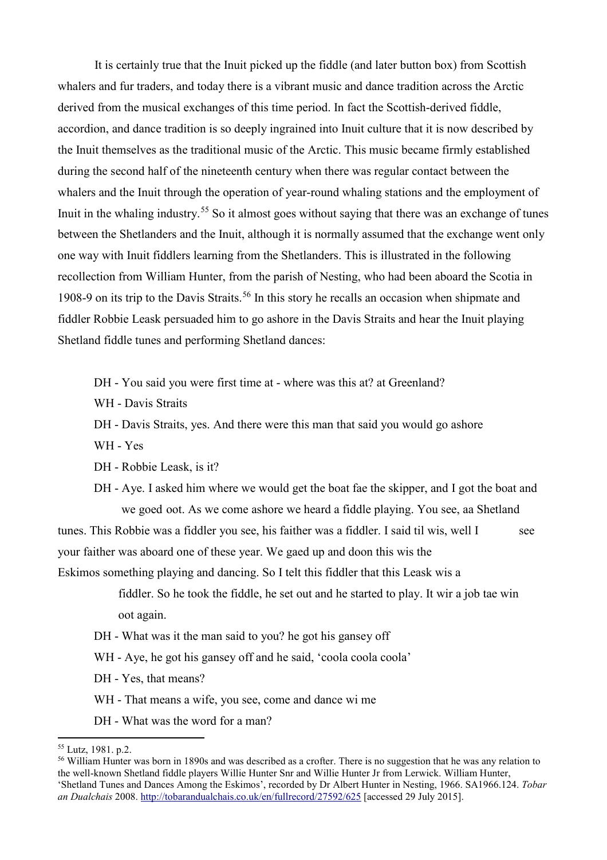It is certainly true that the Inuit picked up the fiddle (and later button box) from Scottish whalers and fur traders, and today there is a vibrant music and dance tradition across the Arctic derived from the musical exchanges of this time period. In fact the Scottish-derived fiddle, accordion, and dance tradition is so deeply ingrained into Inuit culture that it is now described by the Inuit themselves as the traditional music of the Arctic. This music became firmly established during the second half of the nineteenth century when there was regular contact between the whalers and the Inuit through the operation of year-round whaling stations and the employment of Inuit in the whaling industry.<sup>[55](#page-13-0)</sup> So it almost goes without saying that there was an exchange of tunes between the Shetlanders and the Inuit, although it is normally assumed that the exchange went only one way with Inuit fiddlers learning from the Shetlanders. This is illustrated in the following recollection from William Hunter, from the parish of Nesting, who had been aboard the Scotia in 1908-9 on its trip to the Davis Straits.<sup>[56](#page-13-1)</sup> In this story he recalls an occasion when shipmate and fiddler Robbie Leask persuaded him to go ashore in the Davis Straits and hear the Inuit playing Shetland fiddle tunes and performing Shetland dances:

- DH You said you were first time at where was this at? at Greenland?
- WH Davis Straits
- DH Davis Straits, yes. And there were this man that said you would go ashore
- WH Yes
- DH Robbie Leask, is it?
- DH Aye. I asked him where we would get the boat fae the skipper, and I got the boat and we goed oot. As we come ashore we heard a fiddle playing. You see, aa Shetland

tunes. This Robbie was a fiddler you see, his faither was a fiddler. I said til wis, well I see your faither was aboard one of these year. We gaed up and doon this wis the

Eskimos something playing and dancing. So I telt this fiddler that this Leask wis a

 fiddler. So he took the fiddle, he set out and he started to play. It wir a job tae win oot again.

- DH What was it the man said to you? he got his gansey off
- WH Aye, he got his gansey off and he said, 'coola coola coola'
- DH Yes, that means?
- WH That means a wife, you see, come and dance wi me
- DH What was the word for a man?

 $\ddot{\phantom{a}}$ 

<span id="page-13-0"></span><sup>55</sup> Lutz, 1981. p.2.

<span id="page-13-1"></span><sup>&</sup>lt;sup>56</sup> William Hunter was born in 1890s and was described as a crofter. There is no suggestion that he was any relation to the well-known Shetland fiddle players Willie Hunter Snr and Willie Hunter Jr from Lerwick. William Hunter, 'Shetland Tunes and Dances Among the Eskimos', recorded by Dr Albert Hunter in Nesting, 1966. SA1966.124. *Tobar an Dualchais* 2008.<http://tobarandualchais.co.uk/en/fullrecord/27592/625> [accessed 29 July 2015].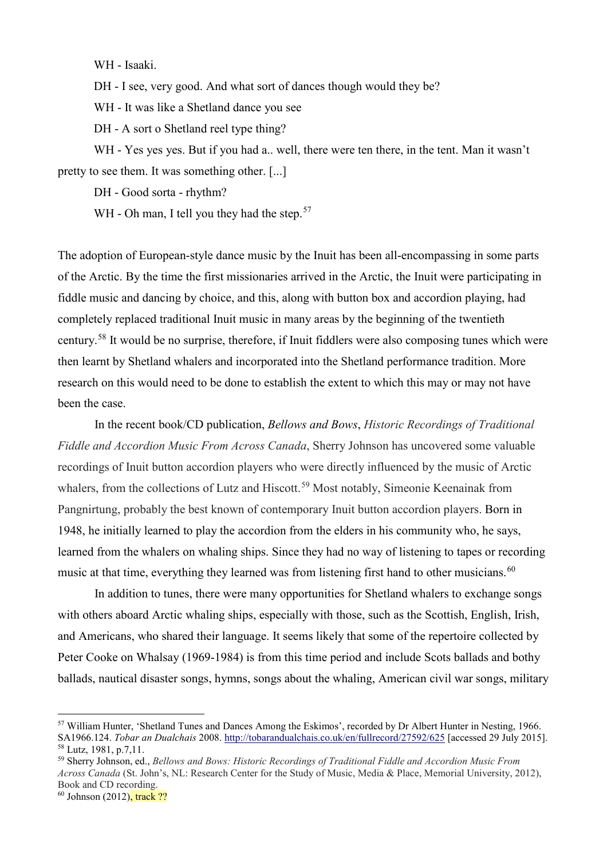WH - Isaaki.

DH - I see, very good. And what sort of dances though would they be?

WH - It was like a Shetland dance you see

DH - A sort o Shetland reel type thing?

WH - Yes yes yes. But if you had a.. well, there were ten there, in the tent. Man it wasn't pretty to see them. It was something other. [...]

DH - Good sorta - rhythm?

WH - Oh man, I tell you they had the step.<sup>[57](#page-14-0)</sup>

The adoption of European-style dance music by the Inuit has been all-encompassing in some parts of the Arctic. By the time the first missionaries arrived in the Arctic, the Inuit were participating in fiddle music and dancing by choice, and this, along with button box and accordion playing, had completely replaced traditional Inuit music in many areas by the beginning of the twentieth century.[58](#page-14-1) It would be no surprise, therefore, if Inuit fiddlers were also composing tunes which were then learnt by Shetland whalers and incorporated into the Shetland performance tradition. More research on this would need to be done to establish the extent to which this may or may not have been the case.

In the recent book/CD publication, *Bellows and Bows*, *Historic Recordings of Traditional Fiddle and Accordion Music From Across Canada*, Sherry Johnson has uncovered some valuable recordings of Inuit button accordion players who were directly influenced by the music of Arctic whalers, from the collections of Lutz and Hiscott.<sup>[59](#page-14-2)</sup> Most notably, Simeonie Keenainak from Pangnirtung, probably the best known of contemporary Inuit button accordion players. Born in 1948, he initially learned to play the accordion from the elders in his community who, he says, learned from the whalers on whaling ships. Since they had no way of listening to tapes or recording music at that time, everything they learned was from listening first hand to other musicians.<sup>[60](#page-14-3)</sup>

In addition to tunes, there were many opportunities for Shetland whalers to exchange songs with others aboard Arctic whaling ships, especially with those, such as the Scottish, English, Irish, and Americans, who shared their language. It seems likely that some of the repertoire collected by Peter Cooke on Whalsay (1969-1984) is from this time period and include Scots ballads and bothy ballads, nautical disaster songs, hymns, songs about the whaling, American civil war songs, military

 $\overline{a}$ 

<span id="page-14-0"></span><sup>57</sup> William Hunter, 'Shetland Tunes and Dances Among the Eskimos', recorded by Dr Albert Hunter in Nesting, 1966. SA1966.124. *Tobar an Dualchais* 2008.<http://tobarandualchais.co.uk/en/fullrecord/27592/625> [accessed 29 July 2015]. <sup>58</sup> Lutz, 1981, p.7,11.

<span id="page-14-2"></span><span id="page-14-1"></span><sup>59</sup> Sherry Johnson, ed., *Bellows and Bows: Historic Recordings of Traditional Fiddle and Accordion Music From Across Canada* (St. John's, NL: Research Center for the Study of Music, Media & Place, Memorial University, 2012), Book and CD recording.

<span id="page-14-3"></span><sup>&</sup>lt;sup>60</sup> Johnson (2012), track ??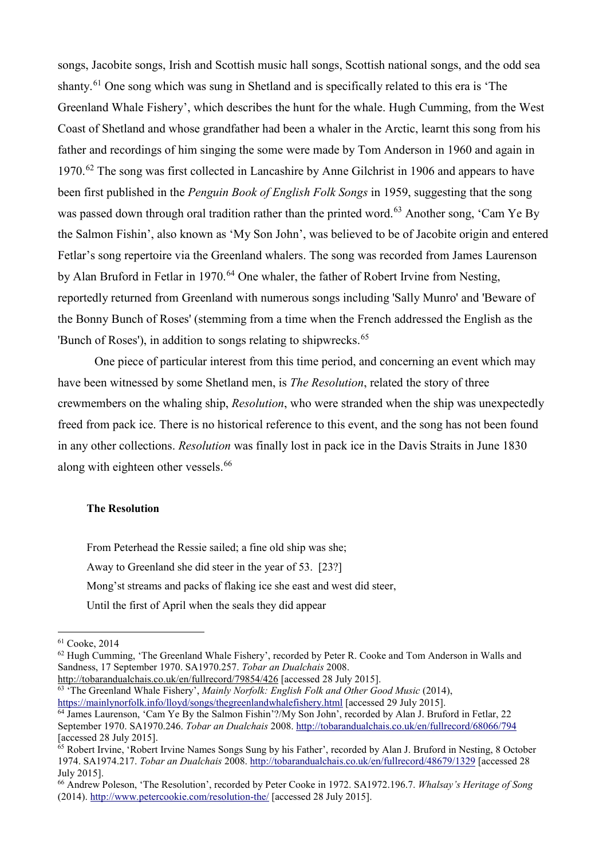songs, Jacobite songs, Irish and Scottish music hall songs, Scottish national songs, and the odd sea shanty.<sup>[61](#page-15-0)</sup> One song which was sung in Shetland and is specifically related to this era is 'The Greenland Whale Fishery', which describes the hunt for the whale. Hugh Cumming, from the West Coast of Shetland and whose grandfather had been a whaler in the Arctic, learnt this song from his father and recordings of him singing the some were made by Tom Anderson in 1960 and again in  $1970.<sup>62</sup>$  $1970.<sup>62</sup>$  $1970.<sup>62</sup>$  The song was first collected in Lancashire by Anne Gilchrist in 1906 and appears to have been first published in the *Penguin Book of English Folk Songs* in 1959, suggesting that the song was passed down through oral tradition rather than the printed word.<sup>[63](#page-15-2)</sup> Another song, 'Cam Ye By the Salmon Fishin', also known as 'My Son John', was believed to be of Jacobite origin and entered Fetlar's song repertoire via the Greenland whalers. The song was recorded from James Laurenson by Alan Bruford in Fetlar in 1970.<sup>[64](#page-15-3)</sup> One whaler, the father of Robert Irvine from Nesting, reportedly returned from Greenland with numerous songs including 'Sally Munro' and 'Beware of the Bonny Bunch of Roses' (stemming from a time when the French addressed the English as the 'Bunch of Roses'), in addition to songs relating to shipwrecks.<sup>[65](#page-15-4)</sup>

One piece of particular interest from this time period, and concerning an event which may have been witnessed by some Shetland men, is *The Resolution*, related the story of three crewmembers on the whaling ship, *Resolution*, who were stranded when the ship was unexpectedly freed from pack ice. There is no historical reference to this event, and the song has not been found in any other collections. *Resolution* was finally lost in pack ice in the Davis Straits in June 1830 along with eighteen other vessels.<sup>[66](#page-15-5)</sup>

#### **The Resolution**

From Peterhead the Ressie sailed; a fine old ship was she; Away to Greenland she did steer in the year of 53. [23?] Mong'st streams and packs of flaking ice she east and west did steer, Until the first of April when the seals they did appear

-

<span id="page-15-2"></span><http://tobarandualchais.co.uk/en/fullrecord/79854/426> [accessed 28 July 2015]. <sup>63</sup> 'The Greenland Whale Fishery', *Mainly Norfolk: English Folk and Other Good Music* (2014), <https://mainlynorfolk.info/lloyd/songs/thegreenlandwhalefishery.html> [accessed 29 July 2015].

<span id="page-15-1"></span><span id="page-15-0"></span><sup>&</sup>lt;sup>61</sup> Cooke, 2014<br><sup>62</sup> Hugh Cumming, 'The Greenland Whale Fishery', recorded by Peter R. Cooke and Tom Anderson in Walls and Sandness, 17 September 1970. SA1970.257. *Tobar an Dualchais* 2008.

<span id="page-15-3"></span><sup>64</sup> James Laurenson, 'Cam Ye By the Salmon Fishin'?/My Son John', recorded by Alan J. Bruford in Fetlar, 22 September 1970. SA1970.246. *Tobar an Dualchais* 2008.<http://tobarandualchais.co.uk/en/fullrecord/68066/794> [accessed 28 July 2015].

<span id="page-15-4"></span><sup>&</sup>lt;sup>65</sup> Robert Irvine, 'Robert Irvine Names Songs Sung by his Father', recorded by Alan J. Bruford in Nesting, 8 October 1974. SA1974.217. *Tobar an Dualchais* 2008.<http://tobarandualchais.co.uk/en/fullrecord/48679/1329> [accessed 28 July 2015].

<span id="page-15-5"></span><sup>66</sup> Andrew Poleson, 'The Resolution', recorded by Peter Cooke in 1972. SA1972.196.7. *Whalsay's Heritage of Song* (2014).<http://www.petercookie.com/resolution-the/> [accessed 28 July 2015].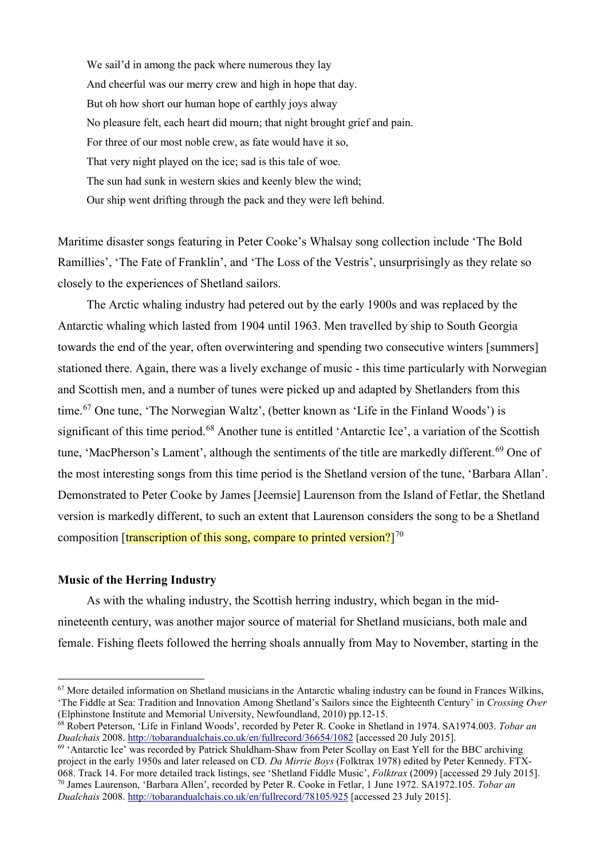We sail'd in among the pack where numerous they lay And cheerful was our merry crew and high in hope that day. But oh how short our human hope of earthly joys alway No pleasure felt, each heart did mourn; that night brought grief and pain. For three of our most noble crew, as fate would have it so, That very night played on the ice; sad is this tale of woe. The sun had sunk in western skies and keenly blew the wind; Our ship went drifting through the pack and they were left behind.

Maritime disaster songs featuring in Peter Cooke's Whalsay song collection include 'The Bold Ramillies', 'The Fate of Franklin', and 'The Loss of the Vestris', unsurprisingly as they relate so closely to the experiences of Shetland sailors.

The Arctic whaling industry had petered out by the early 1900s and was replaced by the Antarctic whaling which lasted from 1904 until 1963. Men travelled by ship to South Georgia towards the end of the year, often overwintering and spending two consecutive winters [summers] stationed there. Again, there was a lively exchange of music - this time particularly with Norwegian and Scottish men, and a number of tunes were picked up and adapted by Shetlanders from this time.[67](#page-16-0) One tune, 'The Norwegian Waltz', (better known as 'Life in the Finland Woods') is significant of this time period.<sup>[68](#page-16-1)</sup> Another tune is entitled 'Antarctic Ice', a variation of the Scottish tune, 'MacPherson's Lament', although the sentiments of the title are markedly different.<sup>[69](#page-16-2)</sup> One of the most interesting songs from this time period is the Shetland version of the tune, 'Barbara Allan'. Demonstrated to Peter Cooke by James [Jeemsie] Laurenson from the Island of Fetlar, the Shetland version is markedly different, to such an extent that Laurenson considers the song to be a Shetland composition [<mark>transcription of this song, compare to printed version?</mark>] $^{70}$  $^{70}$  $^{70}$ 

#### **Music of the Herring Industry**

 $\ddot{\phantom{a}}$ 

As with the whaling industry, the Scottish herring industry, which began in the midnineteenth century, was another major source of material for Shetland musicians, both male and female. Fishing fleets followed the herring shoals annually from May to November, starting in the

<span id="page-16-0"></span> $67$  More detailed information on Shetland musicians in the Antarctic whaling industry can be found in Frances Wilkins, 'The Fiddle at Sea: Tradition and Innovation Among Shetland's Sailors since the Eighteenth Century' in *Crossing Over*  (Elphinstone Institute and Memorial University, Newfoundland, 2010) pp.12-15.

<span id="page-16-1"></span><sup>68</sup> Robert Peterson, 'Life in Finland Woods', recorded by Peter R. Cooke in Shetland in 1974. SA1974.003. *Tobar an Dualchais* 2008.<http://tobarandualchais.co.uk/en/fullrecord/36654/1082> [accessed 20 July 2015].

<span id="page-16-3"></span><span id="page-16-2"></span><sup>&</sup>lt;sup>69</sup> 'Antarctic Ice' was recorded by Patrick Shuldham-Shaw from Peter Scollay on East Yell for the BBC archiving project in the early 1950s and later released on CD. *Da Mirrie Boys* (Folktrax 1978) edited by Peter Kennedy. FTX-068. Track 14. For more detailed track listings, see 'Shetland Fiddle Music', *Folktrax* (2009) [accessed 29 July 2015]. <sup>70</sup> James Laurenson, 'Barbara Allen', recorded by Peter R. Cooke in Fetlar, 1 June 1972. SA1972.105. *Tobar an Dualchais* 2008.<http://tobarandualchais.co.uk/en/fullrecord/78105/925> [accessed 23 July 2015].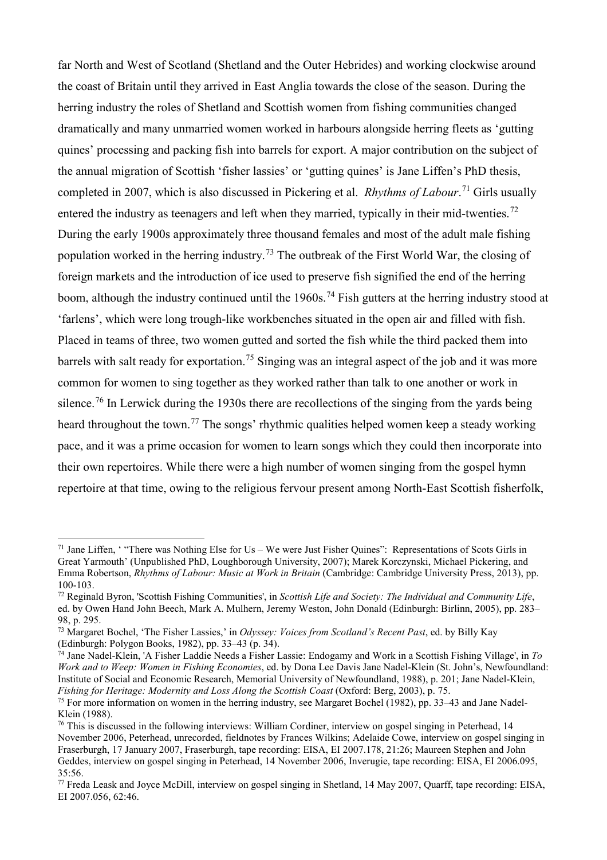far North and West of Scotland (Shetland and the Outer Hebrides) and working clockwise around the coast of Britain until they arrived in East Anglia towards the close of the season. During the herring industry the roles of Shetland and Scottish women from fishing communities changed dramatically and many unmarried women worked in harbours alongside herring fleets as 'gutting quines' processing and packing fish into barrels for export. A major contribution on the subject of the annual migration of Scottish 'fisher lassies' or 'gutting quines' is Jane Liffen's PhD thesis, completed in 2007, which is also discussed in Pickering et al. *Rhythms of Labour*. [71](#page-17-0) Girls usually entered the industry as teenagers and left when they married, typically in their mid-twenties.<sup>[72](#page-17-1)</sup> During the early 1900s approximately three thousand females and most of the adult male fishing population worked in the herring industry.<sup>[73](#page-17-2)</sup> The outbreak of the First World War, the closing of foreign markets and the introduction of ice used to preserve fish signified the end of the herring boom, although the industry continued until the  $1960s$ .<sup>[74](#page-17-3)</sup> Fish gutters at the herring industry stood at 'farlens', which were long trough-like workbenches situated in the open air and filled with fish. Placed in teams of three, two women gutted and sorted the fish while the third packed them into barrels with salt ready for exportation.<sup>[75](#page-17-4)</sup> Singing was an integral aspect of the job and it was more common for women to sing together as they worked rather than talk to one another or work in silence.<sup>[76](#page-17-5)</sup> In Lerwick during the 1930s there are recollections of the singing from the yards being heard throughout the town.<sup>[77](#page-17-6)</sup> The songs' rhythmic qualities helped women keep a steady working pace, and it was a prime occasion for women to learn songs which they could then incorporate into their own repertoires. While there were a high number of women singing from the gospel hymn repertoire at that time, owing to the religious fervour present among North-East Scottish fisherfolk,

<span id="page-17-0"></span><sup>&</sup>lt;sup>71</sup> Jane Liffen, ' "There was Nothing Else for Us – We were Just Fisher Quines": Representations of Scots Girls in Great Yarmouth' (Unpublished PhD, Loughborough University, 2007); Marek Korczynski, Michael Pickering, and Emma Robertson, *Rhythms of Labour: Music at Work in Britain* (Cambridge: Cambridge University Press, 2013), pp. 100-103.

<span id="page-17-1"></span><sup>72</sup> Reginald Byron, 'Scottish Fishing Communities', in *Scottish Life and Society: The Individual and Community Life*, ed. by Owen Hand John Beech, Mark A. Mulhern, Jeremy Weston, John Donald (Edinburgh: Birlinn, 2005), pp. 283–

<span id="page-17-2"></span><sup>&</sup>lt;sup>73</sup> Margaret Bochel, 'The Fisher Lassies,' in *Odyssey: Voices from Scotland's Recent Past*, ed. by Billy Kay (Edinburgh: Polygon Books, 1982), pp. 33–43 (p. 34).

<span id="page-17-3"></span><sup>74</sup> Jane Nadel-Klein, 'A Fisher Laddie Needs a Fisher Lassie: Endogamy and Work in a Scottish Fishing Village', in *To Work and to Weep: Women in Fishing Economies*, ed. by Dona Lee Davis Jane Nadel-Klein (St. John's, Newfoundland: Institute of Social and Economic Research, Memorial University of Newfoundland, 1988), p. 201; Jane Nadel-Klein, *Fishing for Heritage: Modernity and Loss Along the Scottish Coast* (Oxford: Berg, 2003), p. 75.

<span id="page-17-4"></span><sup>&</sup>lt;sup>75</sup> For more information on women in the herring industry, see Margaret Bochel (1982), pp. 33–43 and Jane Nadel-Klein (1988).

<span id="page-17-5"></span> $76$  This is discussed in the following interviews: William Cordiner, interview on gospel singing in Peterhead, 14 November 2006, Peterhead, unrecorded, fieldnotes by Frances Wilkins; Adelaide Cowe, interview on gospel singing in Fraserburgh, 17 January 2007, Fraserburgh, tape recording: EISA, EI 2007.178, 21:26; Maureen Stephen and John Geddes, interview on gospel singing in Peterhead, 14 November 2006, Inverugie, tape recording: EISA, EI 2006.095, 35:56.

<span id="page-17-6"></span><sup>77</sup> Freda Leask and Joyce McDill, interview on gospel singing in Shetland, 14 May 2007, Quarff, tape recording: EISA, EI 2007.056, 62:46.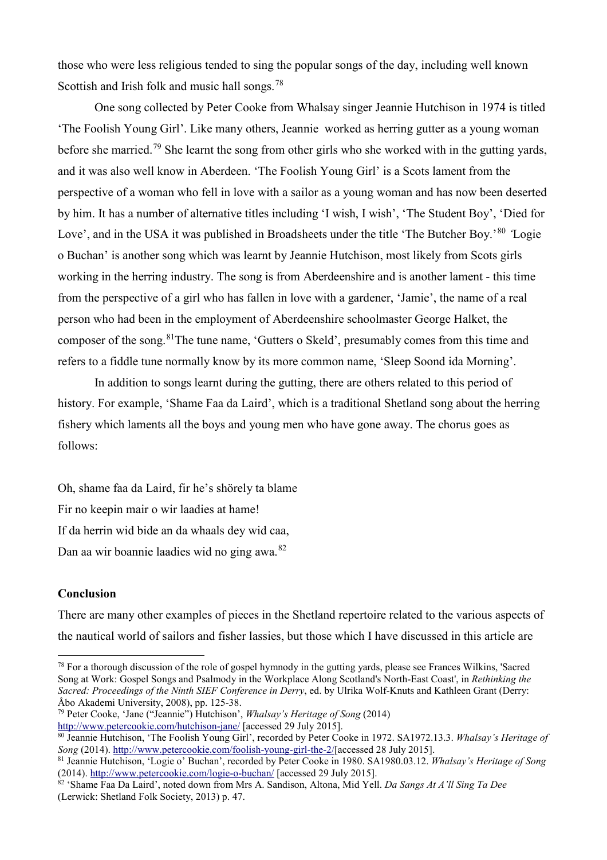those who were less religious tended to sing the popular songs of the day, including well known Scottish and Irish folk and music hall songs.<sup>[78](#page-18-0)</sup>

One song collected by Peter Cooke from Whalsay singer Jeannie Hutchison in 1974 is titled 'The Foolish Young Girl'. Like many others, Jeannie worked as herring gutter as a young woman before she married.<sup>[79](#page-18-1)</sup> She learnt the song from other girls who she worked with in the gutting yards, and it was also well know in Aberdeen. 'The Foolish Young Girl' is a Scots lament from the perspective of a woman who fell in love with a sailor as a young woman and has now been deserted by him. It has a number of alternative titles including 'I wish, I wish', 'The Student Boy', 'Died for Love', and in the USA it was published in Broadsheets under the title 'The Butcher Boy.'<sup>[80](#page-18-2)</sup> Logie o Buchan' is another song which was learnt by Jeannie Hutchison, most likely from Scots girls working in the herring industry. The song is from Aberdeenshire and is another lament - this time from the perspective of a girl who has fallen in love with a gardener, 'Jamie', the name of a real person who had been in the employment of Aberdeenshire schoolmaster George Halket, the composer of the song.[81](#page-18-3)The tune name, 'Gutters o Skeld', presumably comes from this time and refers to a fiddle tune normally know by its more common name, 'Sleep Soond ida Morning'.

In addition to songs learnt during the gutting, there are others related to this period of history. For example, 'Shame Faa da Laird', which is a traditional Shetland song about the herring fishery which laments all the boys and young men who have gone away. The chorus goes as follows:

Oh, shame faa da Laird, fir he's shörely ta blame Fir no keepin mair o wir laadies at hame! If da herrin wid bide an da whaals dey wid caa, Dan aa wir boannie laadies wid no ging awa.[82](#page-18-4)

#### **Conclusion**

-

There are many other examples of pieces in the Shetland repertoire related to the various aspects of the nautical world of sailors and fisher lassies, but those which I have discussed in this article are

<span id="page-18-0"></span><sup>&</sup>lt;sup>78</sup> For a thorough discussion of the role of gospel hymnody in the gutting yards, please see Frances Wilkins, 'Sacred Song at Work: Gospel Songs and Psalmody in the Workplace Along Scotland's North-East Coast', in *Rethinking the Sacred: Proceedings of the Ninth SIEF Conference in Derry*, ed. by Ulrika Wolf-Knuts and Kathleen Grant (Derry: Åbo Akademi University, 2008), pp. 125-38.<br><sup>79</sup> Peter Cooke, 'Jane ("Jeannie") Hutchison', *Whalsay's Heritage of Song* (2014)

<span id="page-18-1"></span><http://www.petercookie.com/hutchison-jane/> [accessed 29 July 2015].

<span id="page-18-2"></span><sup>80</sup> Jeannie Hutchison, 'The Foolish Young Girl', recorded by Peter Cooke in 1972. SA1972.13.3. *Whalsay's Heritage of Song* (2014). [http://www.petercookie.com/foolish-young-girl-the-2/\[](http://www.petercookie.com/foolish-young-girl-the-2/)accessed 28 July 2015].

<span id="page-18-3"></span><sup>81</sup> Jeannie Hutchison, 'Logie o' Buchan', recorded by Peter Cooke in 1980. SA1980.03.12. *Whalsay's Heritage of Song* (2014).<http://www.petercookie.com/logie-o-buchan/> [accessed 29 July 2015].

<span id="page-18-4"></span><sup>82</sup> 'Shame Faa Da Laird', noted down from Mrs A. Sandison, Altona, Mid Yell. *Da Sangs At A'll Sing Ta Dee*  (Lerwick: Shetland Folk Society, 2013) p. 47.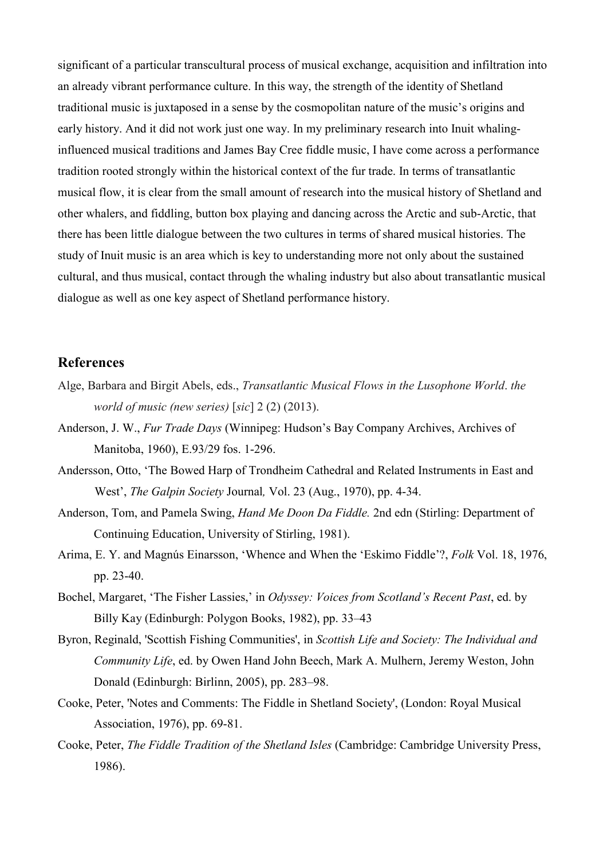significant of a particular transcultural process of musical exchange, acquisition and infiltration into an already vibrant performance culture. In this way, the strength of the identity of Shetland traditional music is juxtaposed in a sense by the cosmopolitan nature of the music's origins and early history. And it did not work just one way. In my preliminary research into Inuit whalinginfluenced musical traditions and James Bay Cree fiddle music, I have come across a performance tradition rooted strongly within the historical context of the fur trade. In terms of transatlantic musical flow, it is clear from the small amount of research into the musical history of Shetland and other whalers, and fiddling, button box playing and dancing across the Arctic and sub-Arctic, that there has been little dialogue between the two cultures in terms of shared musical histories. The study of Inuit music is an area which is key to understanding more not only about the sustained cultural, and thus musical, contact through the whaling industry but also about transatlantic musical dialogue as well as one key aspect of Shetland performance history.

# **References**

- Alge, Barbara and Birgit Abels, eds., *Transatlantic Musical Flows in the Lusophone World*. *the world of music (new series)* [*sic*] 2 (2) (2013).
- Anderson, J. W., *Fur Trade Days* (Winnipeg: Hudson's Bay Company Archives, Archives of Manitoba, 1960), E.93/29 fos. 1-296.
- Andersson, Otto, 'The Bowed Harp of Trondheim Cathedral and Related Instruments in East and West', *The Galpin Society* Journal*,* Vol. 23 (Aug., 1970), pp. 4-34.
- Anderson, Tom, and Pamela Swing, *Hand Me Doon Da Fiddle.* 2nd edn (Stirling: Department of Continuing Education, University of Stirling, 1981).
- Arima, E. Y. and Magnús Einarsson, 'Whence and When the 'Eskimo Fiddle'?, *Folk* Vol. 18, 1976, pp. 23-40.
- Bochel, Margaret, 'The Fisher Lassies,' in *Odyssey: Voices from Scotland's Recent Past*, ed. by Billy Kay (Edinburgh: Polygon Books, 1982), pp. 33–43
- Byron, Reginald, 'Scottish Fishing Communities', in *Scottish Life and Society: The Individual and Community Life*, ed. by Owen Hand John Beech, Mark A. Mulhern, Jeremy Weston, John Donald (Edinburgh: Birlinn, 2005), pp. 283–98.
- Cooke, Peter, 'Notes and Comments: The Fiddle in Shetland Society', (London: Royal Musical Association, 1976), pp. 69-81.
- Cooke, Peter, *The Fiddle Tradition of the Shetland Isles* (Cambridge: Cambridge University Press, 1986).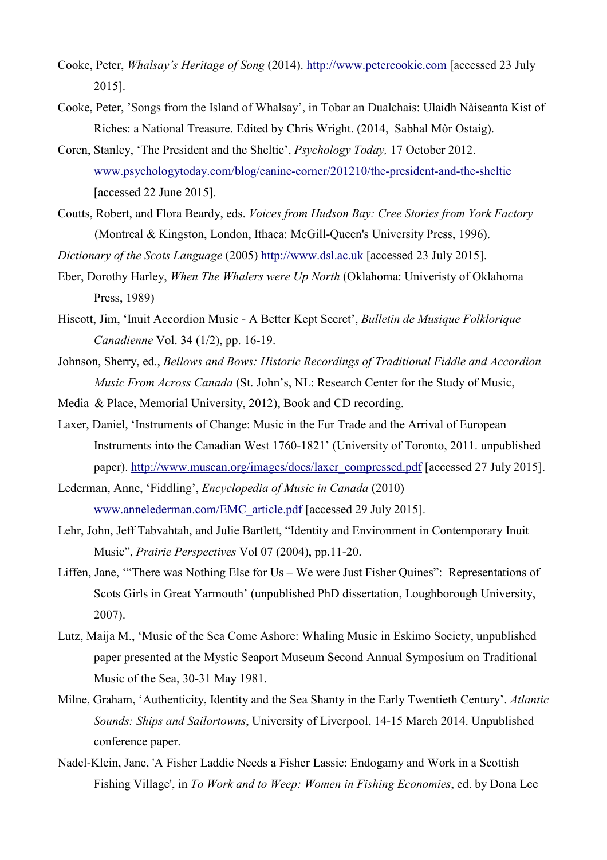- Cooke, Peter, *Whalsay's Heritage of Song* (2014). [http://www.petercookie.com](http://www.petercookie.com/) [accessed 23 July 2015].
- Cooke, Peter, 'Songs from the Island of Whalsay', in Tobar an Dualchais: Ulaidh Nàiseanta Kist of Riches: a National Treasure. Edited by Chris Wright. (2014, Sabhal Mòr Ostaig).
- Coren, Stanley, 'The President and the Sheltie', *Psychology Today,* 17 October 2012. [www.psychologytoday.com/blog/canine-corner/201210/the-president-and-the-sheltie](https://www.psychologytoday.com/blog/canine-corner/201210/the-president-and-the-sheltie) [accessed 22 June 2015].
- Coutts, Robert, and Flora Beardy, eds. *Voices from Hudson Bay: Cree Stories from York Factory* (Montreal & Kingston, London, Ithaca: McGill-Queen's University Press, 1996).
- *Dictionary of the Scots Language* (2005) [http://www.dsl.ac.uk](http://www.dsl.ac.uk/entry/snd/sndns2199) [accessed 23 July 2015].
- Eber, Dorothy Harley, *When The Whalers were Up North* (Oklahoma: Univeristy of Oklahoma Press, 1989)
- Hiscott, Jim, 'Inuit Accordion Music A Better Kept Secret', *Bulletin de Musique Folklorique Canadienne* Vol. 34 (1/2), pp. 16-19.
- Johnson, Sherry, ed., *Bellows and Bows: Historic Recordings of Traditional Fiddle and Accordion Music From Across Canada* (St. John's, NL: Research Center for the Study of Music,
- Media & Place, Memorial University, 2012), Book and CD recording.
- Laxer, Daniel, 'Instruments of Change: Music in the Fur Trade and the Arrival of European Instruments into the Canadian West 1760-1821' (University of Toronto, 2011. unpublished paper). [http://www.muscan.org/images/docs/laxer\\_compressed.pdf](http://www.muscan.org/images/docs/laxer_compressed.pdf) [accessed 27 July 2015].
- Lederman, Anne, 'Fiddling', *Encyclopedia of Music in Canada* (2010) [www.annelederman.com/EMC\\_article.pdf](http://www.annelederman.com/EMC_article.pdf) [accessed 29 July 2015].
- Lehr, John, Jeff Tabvahtah, and Julie Bartlett, "Identity and Environment in Contemporary Inuit Music", *Prairie Perspectives* Vol 07 (2004), pp.11-20.
- Liffen, Jane, '"There was Nothing Else for Us We were Just Fisher Quines": Representations of Scots Girls in Great Yarmouth' (unpublished PhD dissertation, Loughborough University, 2007).
- Lutz, Maija M., 'Music of the Sea Come Ashore: Whaling Music in Eskimo Society, unpublished paper presented at the Mystic Seaport Museum Second Annual Symposium on Traditional Music of the Sea, 30-31 May 1981.
- Milne, Graham, 'Authenticity, Identity and the Sea Shanty in the Early Twentieth Century'. *Atlantic Sounds: Ships and Sailortowns*, University of Liverpool, 14-15 March 2014. Unpublished conference paper.
- Nadel-Klein, Jane, 'A Fisher Laddie Needs a Fisher Lassie: Endogamy and Work in a Scottish Fishing Village', in *To Work and to Weep: Women in Fishing Economies*, ed. by Dona Lee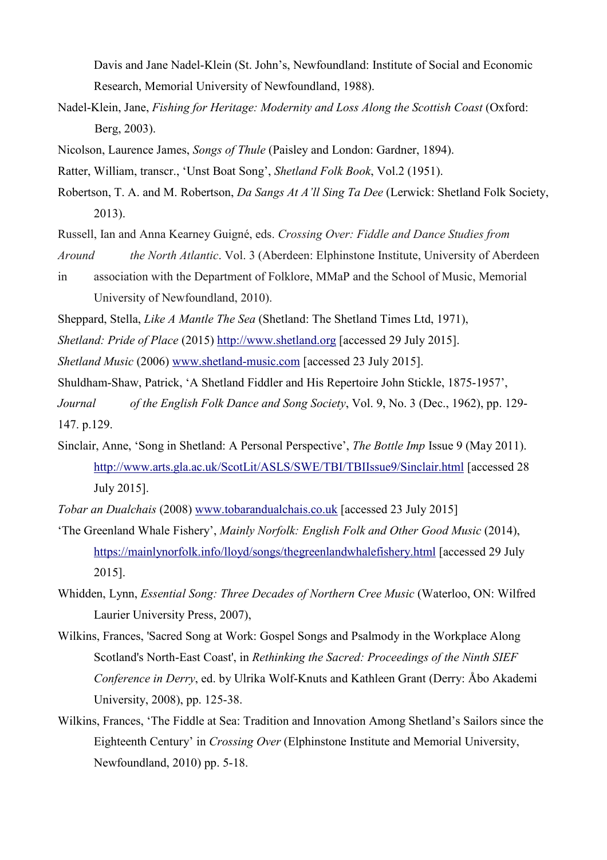Davis and Jane Nadel-Klein (St. John's, Newfoundland: Institute of Social and Economic Research, Memorial University of Newfoundland, 1988).

- Nadel-Klein, Jane, *Fishing for Heritage: Modernity and Loss Along the Scottish Coast* (Oxford: Berg, 2003).
- Nicolson, Laurence James, *Songs of Thule* (Paisley and London: Gardner, 1894).
- Ratter, William, transcr., 'Unst Boat Song', *Shetland Folk Book*, Vol.2 (1951).
- Robertson, T. A. and M. Robertson, *Da Sangs At A'll Sing Ta Dee* (Lerwick: Shetland Folk Society, 2013).
- Russell, Ian and Anna Kearney Guigné, eds. *Crossing Over: Fiddle and Dance Studies from Around the North Atlantic*. Vol. 3 (Aberdeen: Elphinstone Institute, University of Aberdeen in association with the Department of Folklore, MMaP and the School of Music, Memorial
	- University of Newfoundland, 2010).
- Sheppard, Stella, *Like A Mantle The Sea* (Shetland: The Shetland Times Ltd, 1971),
- *Shetland: Pride of Place* (2015) [http://www.shetland.org](http://www.shetland.org/about/history) [accessed 29 July 2015].
- *Shetland Music* (2006) [www.shetland-music.com](http://www.shetland-music.com/) [accessed 23 July 2015].
- Shuldham-Shaw, Patrick, 'A Shetland Fiddler and His Repertoire John Stickle, 1875-1957',
- *Journal of the English Folk Dance and Song Society*, Vol. 9, No. 3 (Dec., 1962), pp. 129- 147. p.129.
- Sinclair, Anne, 'Song in Shetland: A Personal Perspective', *The Bottle Imp* Issue 9 (May 2011). <http://www.arts.gla.ac.uk/ScotLit/ASLS/SWE/TBI/TBIIssue9/Sinclair.html> [accessed 28 July 2015].
- *Tobar an Dualchais* (2008) [www.tobarandualchais.co.uk](http://www.tobarandualchais.co.uk/) [accessed 23 July 2015]
- 'The Greenland Whale Fishery', *Mainly Norfolk: English Folk and Other Good Music* (2014), <https://mainlynorfolk.info/lloyd/songs/thegreenlandwhalefishery.html> [accessed 29 July 2015].
- Whidden, Lynn, *Essential Song: Three Decades of Northern Cree Music* (Waterloo, ON: Wilfred Laurier University Press, 2007),
- Wilkins, Frances, 'Sacred Song at Work: Gospel Songs and Psalmody in the Workplace Along Scotland's North-East Coast', in *Rethinking the Sacred: Proceedings of the Ninth SIEF Conference in Derry*, ed. by Ulrika Wolf-Knuts and Kathleen Grant (Derry: Åbo Akademi University, 2008), pp. 125-38.
- Wilkins, Frances, 'The Fiddle at Sea: Tradition and Innovation Among Shetland's Sailors since the Eighteenth Century' in *Crossing Over* (Elphinstone Institute and Memorial University, Newfoundland, 2010) pp. 5-18.